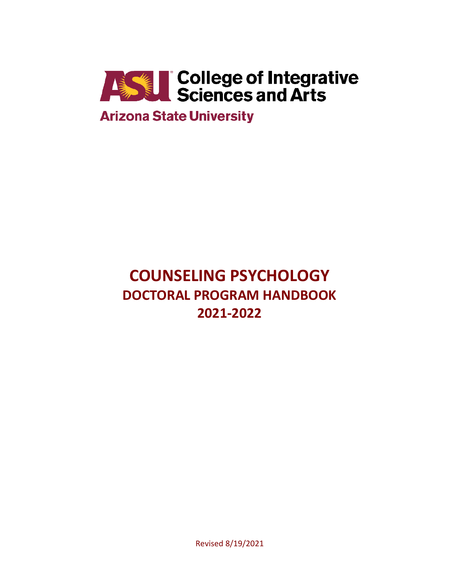

# **COUNSELING PSYCHOLOGY DOCTORAL PROGRAM HANDBOOK 2021-2022**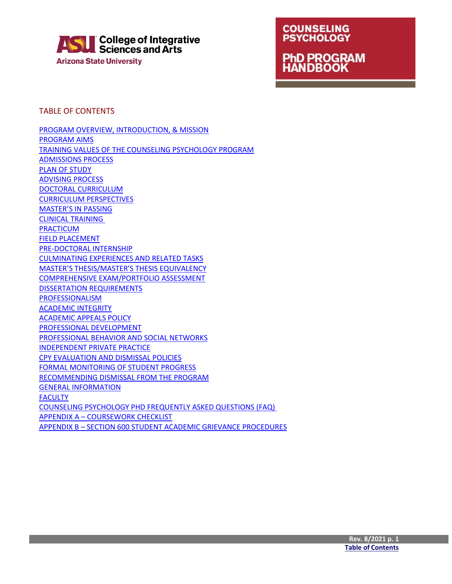

## **COUNSELING PSYCHOLOGY PhD PROGRAM**<br>HANDBOOK

<span id="page-1-0"></span>TABLE OF CONTENTS

[PROGRAM OVERVIEW, INTRODUCTION, & MISSION](#page-2-0) [PROGRAM AIMS](#page-3-0) [TRAINING VALUES OF THE COUNSELING PSYCHOLOGY PROGRAM](#page-3-1) [ADMISSIONS PROCESS](#page-4-0) [PLAN OF STUDY](#page-7-0) [ADVISING PROCESS](#page-9-0) [DOCTORAL CURRICULUM](#page-9-1) [CURRICULUM PERSPECTIVES](#page-10-0) [MASTER'S IN PASSING](#page-12-0) [CLINICAL TRAINING](#page-14-0)  [PRACTICUM](#page-14-1) [FIELD PLACEMENT](#page-15-0) [PRE-DOCTORAL INTERNSHIP](#page-15-1) [CULMINATING EXPERIENCES AND RELATED TASKS](#page-16-0) [MASTER'S THESIS/MASTER'S THESIS EQUIVALENCY](#page-16-1) [COMPREHENSIVE EXAM/PORTFOLIO ASSESSMENT](#page-17-0) [DISSERTATION REQUIREMENTS](#page-19-0) [PROFESSIONALISM](#page-22-0) [ACADEMIC INTEGRITY](#page-22-1) [ACADEMIC APPEALS POLICY](#page-22-2) [PROFESSIONAL DEVELOPMENT](#page-22-3) [PROFESSIONAL BEHAVIOR AND SOCIAL NETWORKS](#page-22-4) [INDEPENDENT PRIVATE PRACTICE](#page-23-0) [CPY EVALUATION AND DISMISSAL POLICIES](#page-23-1) [FORMAL MONITORING OF STUDENT PROGRESS](#page-23-2) [RECOMMENDING DISMISSAL FROM THE PROGRAM](#page-24-0) [GENERAL INFORMATION](#page-25-0) **[FACULTY](#page-29-0)** [COUNSELING PSYCHOLOGY PHD FREQUENTLY ASKED QUESTIONS \(FAQ\)](#page-39-0)  APPENDIX A – [COURSEWORK CHECKLIST](#page-43-0) APPENDIX B – [SECTION 600 STUDENT ACADEMIC GRIEVANCE PROCEDURES](#page-45-0)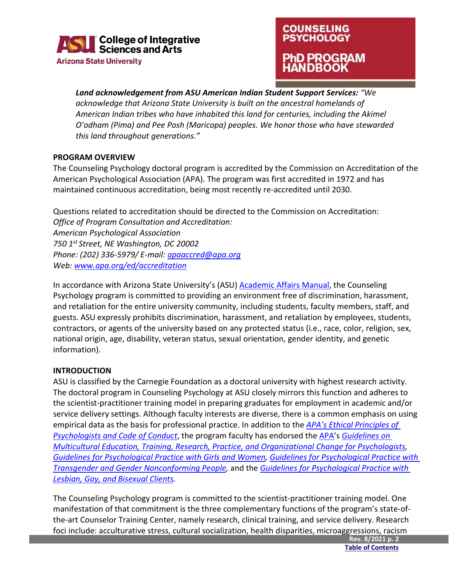

### **COUNSELING PSYCHOLOGY ID PROGRAM IDBOOK**

*Land acknowledgement from ASU American Indian Student Support Services: "We acknowledge that Arizona State University is built on the ancestral homelands of American Indian tribes who have inhabited this land for centuries, including the Akimel O'odham (Pima) and Pee Posh (Maricopa) peoples. We honor those who have stewarded this land throughout generations."*

#### **PROGRAM OVERVIEW**

The Counseling Psychology doctoral program is accredited by the Commission on Accreditation of the American Psychological Association (APA). The program was first accredited in 1972 and has maintained continuous accreditation, being most recently re-accredited until 2030.

Questions related to accreditation should be directed to the Commission on Accreditation: *Office of Program Consultation and Accreditation: American Psychological Association 750 1st Street, NE Washington, DC 20002 Phone: (202) 336-5979/ E-mail: [apaaccred@apa.org](mailto:apaaccred@apa.org) Web: [www.apa.org/ed/accreditation](http://www.apa.org/ed/accreditation)* 

In accordance with Arizona State University's (ASU) [Academic Affairs Manual,](https://www.asu.edu/aad/manuals/acd/acd401.html) the Counseling Psychology program is committed to providing an environment free of discrimination, harassment, and retaliation for the entire university community, including students, faculty members, staff, and guests. ASU expressly prohibits discrimination, harassment, and retaliation by employees, students, contractors, or agents of the university based on any protected status (i.e., race, color, religion, sex, national origin, age, disability, veteran status, sexual orientation, gender identity, and genetic information).

#### <span id="page-2-0"></span>**INTRODUCTION**

ASU is classified by the Carnegie Foundation as a doctoral university with highest research activity. The doctoral program in Counseling Psychology at ASU closely mirrors this function and adheres to the scientist-practitioner training model in preparing graduates for employment in academic and/or service delivery settings. Although faculty interests are diverse, there is a common emphasis on using empirical data as the basis for professional practice. In addition to the *[APA's Ethical Principles of](https://www.apa.org/ethics/code/ethics-code-2017.pdf)  [Psychologists and Code of Conduct](https://www.apa.org/ethics/code/ethics-code-2017.pdf)*, the program faculty has endorsed th[e APA'](http://www.apa.org/ed/accreditation)s *[Guidelines on](http://www.apa.org/pi/oema/resources/policy/multicultural-guidelines.aspx)  [Multicultural Education, Training, Research, Practice, and Organizational Change for Psychologists,](http://www.apa.org/pi/oema/resources/policy/multicultural-guidelines.aspx) [Guidelines for Psychological Practice with Girls and Women,](http://www.apa.org/practice/guidelines/girls-and-women.aspx) [Guidelines for Psychological Practice with](https://www.apa.org/practice/guidelines/transgender.pdf)  [Transgender and Gender Nonconforming People,](https://www.apa.org/practice/guidelines/transgender.pdf)* and the *[Guidelines for Psychological Practice with](http://www.apa.org/pi/lgbt/resources/guidelines.aspx)  [Lesbian, Gay, and Bisexual](http://www.apa.org/pi/lgbt/resources/guidelines.aspx) Clients.*

The Counseling Psychology program is committed to the scientist-practitioner training model. One manifestation of that commitment is the three complementary functions of the program's state-ofthe-art Counselor Training Center, namely research, clinical training, and service delivery. Research foci include: acculturative stress, cultural socialization, health disparities, microaggressions, racism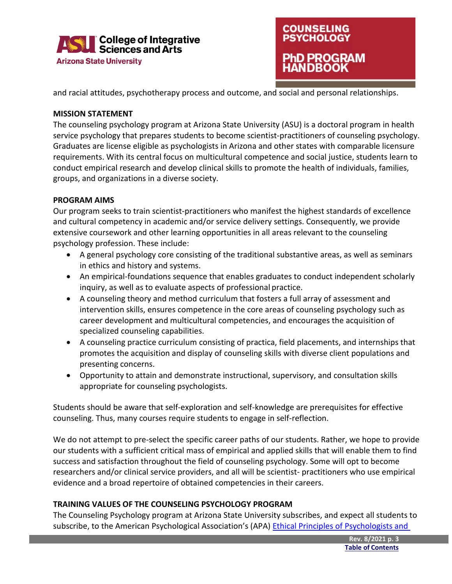



and racial attitudes, psychotherapy process and outcome, and social and personal relationships.

#### <span id="page-3-0"></span>**MISSION STATEMENT**

The counseling psychology program at Arizona State University (ASU) is a doctoral program in health service psychology that prepares students to become scientist-practitioners of counseling psychology. Graduates are license eligible as psychologists in Arizona and other states with comparable licensure requirements. With its central focus on multicultural competence and social justice, students learn to conduct empirical research and develop clinical skills to promote the health of individuals, families, groups, and organizations in a diverse society.

#### **PROGRAM AIMS**

Our program seeks to train scientist-practitioners who manifest the highest standards of excellence and cultural competency in academic and/or service delivery settings. Consequently, we provide extensive coursework and other learning opportunities in all areas relevant to the counseling psychology profession. These include:

- A general psychology core consisting of the traditional substantive areas, as well as seminars in ethics and history and systems.
- An empirical-foundations sequence that enables graduates to conduct independent scholarly inquiry, as well as to evaluate aspects of professional practice.
- A counseling theory and method curriculum that fosters a full array of assessment and intervention skills, ensures competence in the core areas of counseling psychology such as career development and multicultural competencies, and encourages the acquisition of specialized counseling capabilities.
- A counseling practice curriculum consisting of practica, field placements, and internships that promotes the acquisition and display of counseling skills with diverse client populations and presenting concerns.
- Opportunity to attain and demonstrate instructional, supervisory, and consultation skills appropriate for counseling psychologists.

Students should be aware that self-exploration and self-knowledge are prerequisites for effective counseling. Thus, many courses require students to engage in self-reflection.

We do not attempt to pre-select the specific career paths of our students. Rather, we hope to provide our students with a sufficient critical mass of empirical and applied skills that will enable them to find success and satisfaction throughout the field of counseling psychology. Some will opt to become researchers and/or clinical service providers, and all will be scientist- practitioners who use empirical evidence and a broad repertoire of obtained competencies in their careers.

#### <span id="page-3-1"></span>**TRAINING VALUES OF THE COUNSELING PSYCHOLOGY PROGRAM**

The Counseling Psychology program at Arizona State University subscribes, and expect all students to subscribe, to the American Psychological Association's (APA) Ethical Principles of Psychologists and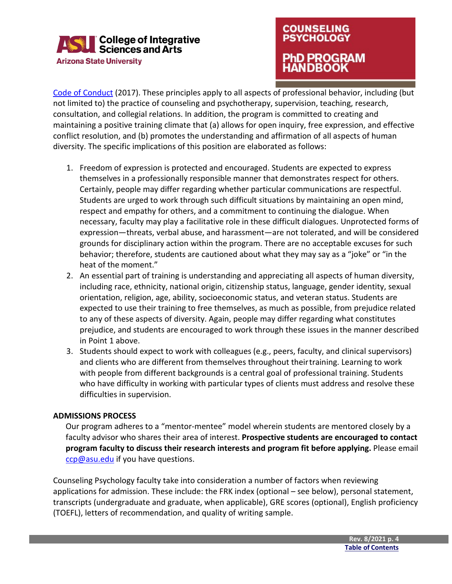

### **COUNSELING PSYCHOLOGY** hD PROGRAM **ANDBOOK**

[Code of Conduct](http://www.apa.org/ethics/code/ethics-code-2017.pdf) (2017). These principles apply to all aspects of professional behavior, including (but not limited to) the practice of counseling and psychotherapy, supervision, teaching, research, consultation, and collegial relations. In addition, the program is committed to creating and maintaining a positive training climate that (a) allows for open inquiry, free expression, and effective conflict resolution, and (b) promotes the understanding and affirmation of all aspects of human diversity. The specific implications of this position are elaborated as follows:

- 1. Freedom of expression is protected and encouraged. Students are expected to express themselves in a professionally responsible manner that demonstrates respect for others. Certainly, people may differ regarding whether particular communications are respectful. Students are urged to work through such difficult situations by maintaining an open mind, respect and empathy for others, and a commitment to continuing the dialogue. When necessary, faculty may play a facilitative role in these difficult dialogues. Unprotected forms of expression—threats, verbal abuse, and harassment—are not tolerated, and will be considered grounds for disciplinary action within the program. There are no acceptable excuses for such behavior; therefore, students are cautioned about what they may say as a "joke" or "in the heat of the moment."
- 2. An essential part of training is understanding and appreciating all aspects of human diversity, including race, ethnicity, national origin, citizenship status, language, gender identity, sexual orientation, religion, age, ability, socioeconomic status, and veteran status. Students are expected to use their training to free themselves, as much as possible, from prejudice related to any of these aspects of diversity. Again, people may differ regarding what constitutes prejudice, and students are encouraged to work through these issues in the manner described in Point 1 above.
- <span id="page-4-0"></span>3. Students should expect to work with colleagues (e.g., peers, faculty, and clinical supervisors) and clients who are different from themselves throughout theirtraining. Learning to work with people from different backgrounds is a central goal of professional training. Students who have difficulty in working with particular types of clients must address and resolve these difficulties in supervision.

#### **ADMISSIONS PROCESS**

Our program adheres to a "mentor-mentee" model wherein students are mentored closely by a faculty advisor who shares their area of interest. **Prospective students are encouraged to contact program faculty to discuss their research interests and program fit before applying.** Please email [ccp@asu.edu](mailto:ccp@asu.edu) if you have questions.

Counseling Psychology faculty take into consideration a number of factors when reviewing applications for admission. These include: the FRK index (optional – see below), personal statement, transcripts (undergraduate and graduate, when applicable), GRE scores (optional), English proficiency (TOEFL), letters of recommendation, and quality of writing sample.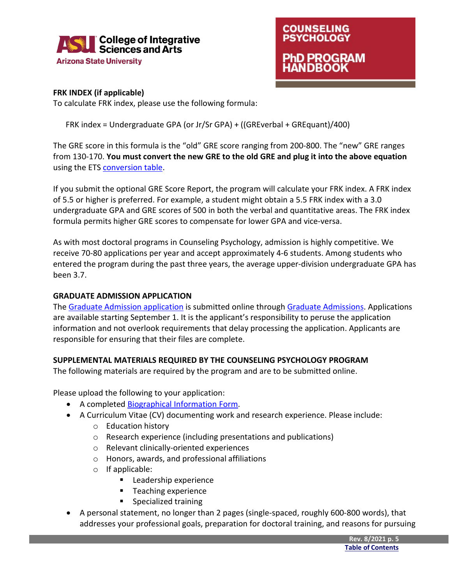

### **COUNSELING PSYCHOLOGY** PhD PROGRAM **NDBOOK**

#### **FRK INDEX (if applicable)**

To calculate FRK index, please use the following formula:

FRK index = Undergraduate GPA (or Jr/Sr GPA) + ((GREverbal + GREquant)/400)

The GRE score in this formula is the "old" GRE score ranging from 200-800. The "new" GRE ranges from 130-170. **You must convert the new GRE to the old GRE and plug it into the above equation**  using the ETS [conversion table.](http://www.ets.org/s/gre/pdf/concordance_information.pdf)

If you submit the optional GRE Score Report, the program will calculate your FRK index. A FRK index of 5.5 or higher is preferred. For example, a student might obtain a 5.5 FRK index with a 3.0 undergraduate GPA and GRE scores of 500 in both the verbal and quantitative areas. The FRK index formula permits higher GRE scores to compensate for lower GPA and vice-versa.

As with most doctoral programs in Counseling Psychology, admission is highly competitive. We receive 70-80 applications per year and accept approximately 4-6 students. Among students who entered the program during the past three years, the average upper-division undergraduate GPA has been 3.7.

#### **GRADUATE ADMISSION APPLICATION**

The [Graduate Admission application](https://webapp4.asu.edu/dgsadmissions/Index.jsp) is submitted online through [Graduate Admissions.](https://admission.asu.edu/graduate/apply) Applications are available starting September 1. It is the applicant's responsibility to peruse the application information and not overlook requirements that delay processing the application. Applicants are responsible for ensuring that their files are complete.

#### **SUPPLEMENTAL MATERIALS REQUIRED BY THE COUNSELING PSYCHOLOGY PROGRAM**

The following materials are required by the program and are to be submitted online.

Please upload the following to your application:

- A completed [Biographical Information](https://cisa.asu.edu/graduate/ccp/PhD-application-requirements) Form.
- A Curriculum Vitae (CV) documenting work and research experience. Please include:
	- o Education history
	- o Research experience (including presentations and publications)
	- o Relevant clinically-oriented experiences
	- o Honors, awards, and professional affiliations
	- o If applicable:
		- **Leadership experience**
		- **Teaching experience**
		- **Specialized training**
- A personal statement, no longer than 2 pages (single-spaced, roughly 600-800 words), that addresses your professional goals, preparation for doctoral training, and reasons for pursuing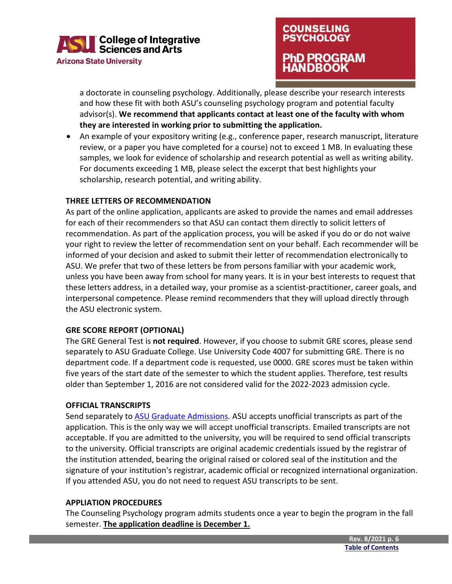

### **COUNSELING PSYCHOLOGY** PhD PROGRAM **NDBOOK**

a doctorate in counseling psychology. Additionally, please describe your research interests and how these fit with both ASU's counseling psychology program and potential faculty advisor(s). **We recommend that applicants contact at least one of the faculty with whom they are interested in working prior to submitting the application.**

• An example of your expository writing (e.g., conference paper, research manuscript, literature review, or a paper you have completed for a course) not to exceed 1 MB. In evaluating these samples, we look for evidence of scholarship and research potential as well as writing ability. For documents exceeding 1 MB, please select the excerpt that best highlights your scholarship, research potential, and writing ability.

#### **THREE LETTERS OF RECOMMENDATION**

As part of the online application, applicants are asked to provide the names and email addresses for each of their recommenders so that ASU can contact them directly to solicit letters of recommendation. As part of the application process, you will be asked if you do or do not waive your right to review the letter of recommendation sent on your behalf. Each recommender will be informed of your decision and asked to submit their letter of recommendation electronically to ASU. We prefer that two of these letters be from persons familiar with your academic work, unless you have been away from school for many years. It is in your best interests to request that these letters address, in a detailed way, your promise as a scientist-practitioner, career goals, and interpersonal competence. Please remind recommenders that they will upload directly through the ASU electronic system.

#### **GRE SCORE REPORT (OPTIONAL)**

The GRE General Test is **not required**. However, if you choose to submit GRE scores, please send separately to ASU Graduate College. Use University Code 4007 for submitting GRE. There is no department code. If a department code is requested, use 0000. GRE scores must be taken within five years of the start date of the semester to which the student applies. Therefore, test results older than September 1, 2016 are not considered valid for the 2022-2023 admission cycle.

#### **OFFICIAL TRANSCRIPTS**

Send separately to [ASU Graduate Admissions.](https://admission.asu.edu/transcripts) ASU accepts unofficial transcripts as part of the application. This is the only way we will accept unofficial transcripts. Emailed transcripts are not acceptable. If you are admitted to the university, you will be required to send official transcripts to the university. Official transcripts are original academic credentials issued by the registrar of the institution attended, bearing the original raised or colored seal of the institution and the signature of your institution's registrar, academic official or recognized international organization. If you attended ASU, you do not need to request ASU transcripts to be sent.

#### **APPLIATION PROCEDURES**

The Counseling Psychology program admits students once a year to begin the program in the fall semester. **The application deadline is December 1.**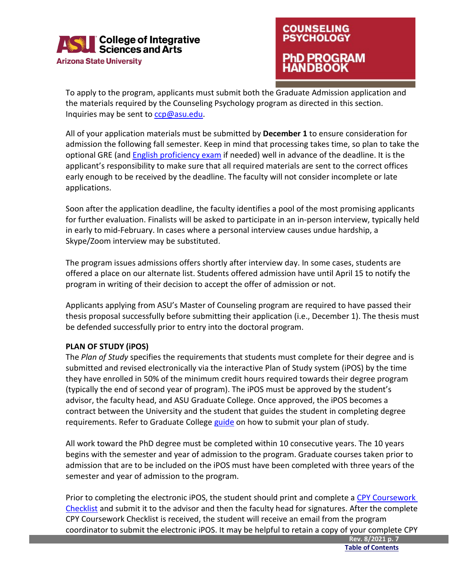

### **COUNSELING PSYCHOLOGY 1D PROGRAM NDBOOK**

To apply to the program, applicants must submit both the Graduate Admission application and the materials required by the Counseling Psychology program as directed in this section. Inquiries may be sent to [ccp@asu.edu.](mailto:ccp@asu.edu)

All of your application materials must be submitted by **December 1** to ensure consideration for admission the following fall semester. Keep in mind that processing takes time, so plan to take the optional GRE (an[d English proficiency exam](https://students.asu.edu/graduate/proficiency) if needed) well in advance of the deadline. It is the applicant's responsibility to make sure that all required materials are sent to the correct offices early enough to be received by the deadline. The faculty will not consider incomplete or late applications.

Soon after the application deadline, the faculty identifies a pool of the most promising applicants for further evaluation. Finalists will be asked to participate in an in-person interview, typically held in early to mid-February. In cases where a personal interview causes undue hardship, a Skype/Zoom interview may be substituted.

The program issues admissions offers shortly after interview day. In some cases, students are offered a place on our alternate list. Students offered admission have until April 15 to notify the program in writing of their decision to accept the offer of admission or not.

Applicants applying from ASU's Master of Counseling program are required to have passed their thesis proposal successfully before submitting their application (i.e., December 1). The thesis must be defended successfully prior to entry into the doctoral program.

#### <span id="page-7-0"></span>**PLAN OF STUDY (iPOS)**

The *Plan of Study* specifies the requirements that students must complete for their degree and is submitted and revised electronically via the interactive Plan of Study system (iPOS) by the time they have enrolled in 50% of the minimum credit hours required towards their degree program (typically the end of second year of program). The iPOS must be approved by the student's advisor, the faculty head, and ASU Graduate College. Once approved, the iPOS becomes a contract between the University and the student that guides the student in completing degree requirements. Refer to Graduate College [guide](https://graduate.asu.edu/current-students/completing-your-degree/your-plan-study-ipos) on how to submit your plan of study.

All work toward the PhD degree must be completed within 10 consecutive years. The 10 years begins with the semester and year of admission to the program. Graduate courses taken prior to admission that are to be included on the iPOS must have been completed with three years of the semester and year of admission to the program.

Prior to completing the electronic iPOS, the student should print and complete a CPY Coursework [Checklist](https://cisa.asu.edu/graduate/ccp/forms) and submit it to the advisor and then the faculty head for signatures. After the complete CPY Coursework Checklist is received, the student will receive an email from the program coordinator to submit the electronic iPOS. It may be helpful to retain a copy of your complete CPY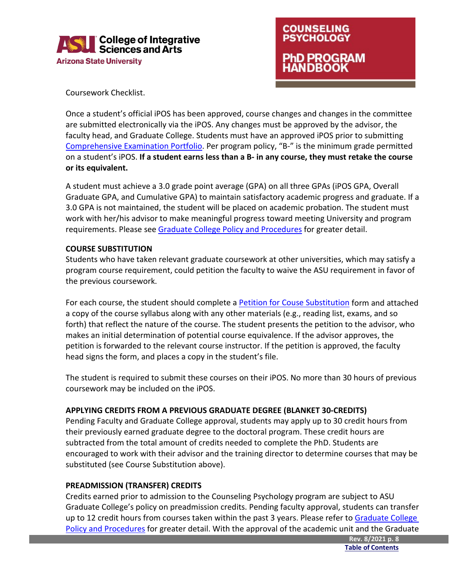



Coursework Checklist.

Once a student's official iPOS has been approved, course changes and changes in the committee are submitted electronically via the iPOS. Any changes must be approved by the advisor, the faculty head, and Graduate College. Students must have an approved iPOS prior to submitting [Comprehensive Examination Portfolio.](#page-17-0) Per program policy, "B-" is the minimum grade permitted on a student's iPOS. **If a student earns less than a B- in any course, they must retake the course or its equivalent.**

A student must achieve a 3.0 grade point average (GPA) on all three GPAs (iPOS GPA, Overall Graduate GPA, and Cumulative GPA) to maintain satisfactory academic progress and graduate. If a 3.0 GPA is not maintained, the student will be placed on academic probation. The student must work with her/his advisor to make meaningful progress toward meeting University and program requirements. Please see [Graduate College Policy and Procedures](https://graduate.asu.edu/current-students/policies-forms-and-deadlines/policy-manuals) for greater detail.

#### **COURSE SUBSTITUTION**

Students who have taken relevant graduate coursework at other universities, which may satisfy a program course requirement, could petition the faculty to waive the ASU requirement in favor of the previous coursework.

For each course, the student should complete [a Petition for Couse Substitution](https://cisa.asu.edu/graduate/ccp/forms) form and attached a copy of the course syllabus along with any other materials (e.g., reading list, exams, and so forth) that reflect the nature of the course. The student presents the petition to the advisor, who makes an initial determination of potential course equivalence. If the advisor approves, the petition is forwarded to the relevant course instructor. If the petition is approved, the faculty head signs the form, and places a copy in the student's file.

The student is required to submit these courses on their iPOS. No more than 30 hours of previous coursework may be included on the iPOS.

#### **APPLYING CREDITS FROM A PREVIOUS GRADUATE DEGREE (BLANKET 30-CREDITS)**

Pending Faculty and Graduate College approval, students may apply up to 30 credit hours from their previously earned graduate degree to the doctoral program. These credit hours are subtracted from the total amount of credits needed to complete the PhD. Students are encouraged to work with their advisor and the training director to determine courses that may be substituted (see Course Substitution above).

#### **PREADMISSION (TRANSFER) CREDITS**

Credits earned prior to admission to the Counseling Psychology program are subject to ASU Graduate College's policy on preadmission credits. Pending faculty approval, students can transfer up to 12 credit hours from courses taken within the past 3 years. Please refer to Graduate College [Policy and Procedures](https://graduate.asu.edu/current-students/policies-forms-and-deadlines/policy-manuals) for greater detail. With the approval of the academic unit and the Graduate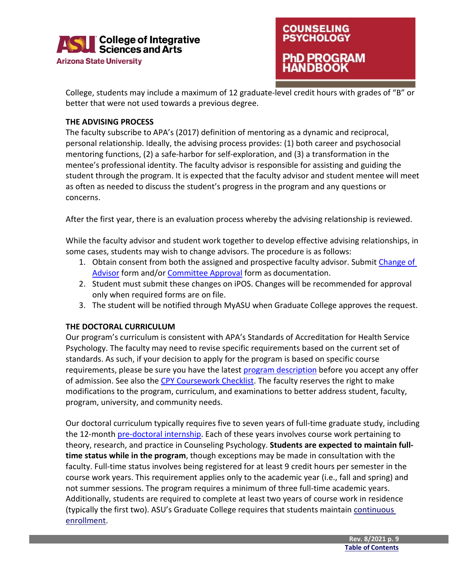



College, students may include a maximum of 12 graduate-level credit hours with grades of "B" or better that were not used towards a previous degree.

#### <span id="page-9-0"></span>**THE ADVISING PROCESS**

The faculty subscribe to APA's (2017) definition of mentoring as a dynamic and reciprocal, personal relationship. Ideally, the advising process provides: (1) both career and psychosocial mentoring functions, (2) a safe-harbor for self-exploration, and (3) a transformation in the mentee's professional identity. The faculty advisor is responsible for assisting and guiding the student through the program. It is expected that the faculty advisor and student mentee will meet as often as needed to discuss the student's progress in the program and any questions or concerns.

After the first year, there is an evaluation process whereby the advising relationship is reviewed.

While the faculty advisor and student work together to develop effective advising relationships, in some cases, students may wish to change advisors. The procedure is as follows:

- 1. Obtain consent from both the assigned and prospective faculty advisor. Submit [Change of](https://cisa.asu.edu/graduate/ccp/forms)  [Advisor](https://cisa.asu.edu/graduate/ccp/forms) form and/or [Committee Approval](https://cisa.asu.edu/graduate/ccp/forms) form as documentation.
- 2. Student must submit these changes on iPOS. Changes will be recommended for approval only when required forms are on file.
- 3. The student will be notified through MyASU when Graduate College approves the request.

#### <span id="page-9-1"></span>**THE DOCTORAL CURRICULUM**

Our program's curriculum is consistent with APA's Standards of Accreditation for Health Service Psychology. The faculty may need to revise specific requirements based on the current set of standards. As such, if your decision to apply for the program is based on specific course requirements, please be sure you have the latest [program description](https://webapp4.asu.edu/programs/t5/majorinfo/ASU00/EDCPSYPHD/graduate/false) before you accept any offer of admission. See also the [CPY Coursework Checklist.](https://cisa.asu.edu/graduate/ccp/forms) The faculty reserves the right to make modifications to the program, curriculum, and examinations to better address student, faculty, program, university, and community needs.

Our doctoral curriculum typically requires five to seven years of full-time graduate study, including the 12-month [pre-doctoral internship.](#page-15-1) Each of these years involves course work pertaining to theory, research, and practice in Counseling Psychology. **Students are expected to maintain fulltime status while in the program**, though exceptions may be made in consultation with the faculty. Full-time status involves being registered for at least 9 credit hours per semester in the course work years. This requirement applies only to the academic year (i.e., fall and spring) and not summer sessions. The program requires a minimum of three full-time academic years. Additionally, students are required to complete at least two years of course work in residence (typically the first two). ASU's Graduate College requires that students maintain continuous [enrollment.](https://graduate.asu.edu/current-students/policies-forms-and-deadlines/policy-manuals)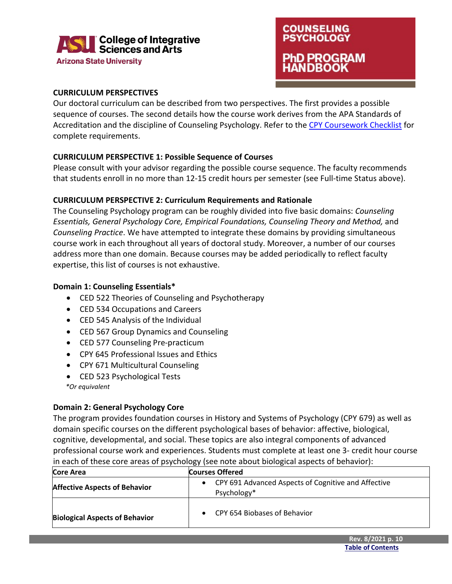

**COUNSELING PSYCHOLOGY 1D PROGRAM IDBOOK** 

#### <span id="page-10-0"></span>**CURRICULUM PERSPECTIVES**

Our doctoral curriculum can be described from two perspectives. The first provides a possible sequence of courses. The second details how the course work derives from the APA Standards of Accreditation and the discipline of Counseling Psychology. Refer to th[e CPY Coursework Checklist](https://cisa.asu.edu/graduate/ccp/forms) for complete requirements.

#### **CURRICULUM PERSPECTIVE 1: Possible Sequence of Courses**

Please consult with your advisor regarding the possible course sequence. The faculty recommends that students enroll in no more than 12-15 credit hours per semester (see Full-time Status above).

#### **CURRICULUM PERSPECTIVE 2: Curriculum Requirements and Rationale**

The Counseling Psychology program can be roughly divided into five basic domains: *Counseling Essentials, General Psychology Core, Empirical Foundations, Counseling Theory and Method,* and *Counseling Practice*. We have attempted to integrate these domains by providing simultaneous course work in each throughout all years of doctoral study. Moreover, a number of our courses address more than one domain. Because courses may be added periodically to reflect faculty expertise, this list of courses is not exhaustive.

#### **Domain 1: Counseling Essentials\***

- CED 522 Theories of Counseling and Psychotherapy
- CED 534 Occupations and Careers
- CED 545 Analysis of the Individual
- CED 567 Group Dynamics and Counseling
- CED 577 Counseling Pre-practicum
- CPY 645 Professional Issues and Ethics
- CPY 671 Multicultural Counseling
- CED 523 Psychological Tests
- *\*Or equivalent*

#### **Domain 2: General Psychology Core**

The program provides foundation courses in History and Systems of Psychology (CPY 679) as well as domain specific courses on the different psychological bases of behavior: affective, biological, cognitive, developmental, and social. These topics are also integral components of advanced professional course work and experiences. Students must complete at least one 3- credit hour course in each of these core areas of psychology (see note about biological aspects of behavior):

| Core Area                             | <b>Courses Offered</b>                                             |  |  |  |  |
|---------------------------------------|--------------------------------------------------------------------|--|--|--|--|
| <b>Affective Aspects of Behavior</b>  | CPY 691 Advanced Aspects of Cognitive and Affective<br>Psychology* |  |  |  |  |
| <b>Biological Aspects of Behavior</b> | CPY 654 Biobases of Behavior                                       |  |  |  |  |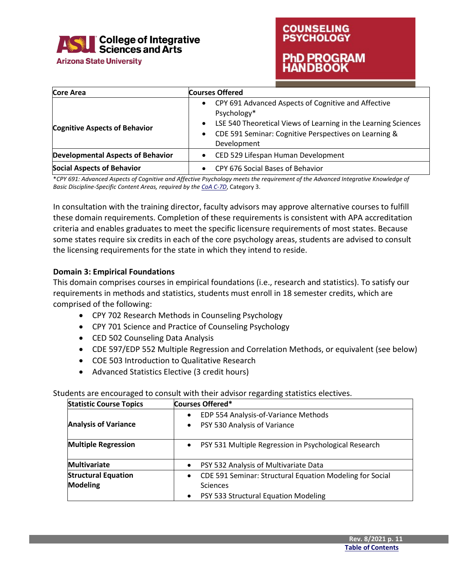

**Arizona State University** 

### **COUNSELING PSYCHOLOGY** PhD PROGRAM **ANDBOOK**

| Core Area                                | <b>Courses Offered</b>                                                                                                                                                                                                                 |
|------------------------------------------|----------------------------------------------------------------------------------------------------------------------------------------------------------------------------------------------------------------------------------------|
| <b>Cognitive Aspects of Behavior</b>     | CPY 691 Advanced Aspects of Cognitive and Affective<br>Psychology*<br>LSE 540 Theoretical Views of Learning in the Learning Sciences<br>$\bullet$<br>CDE 591 Seminar: Cognitive Perspectives on Learning &<br>$\bullet$<br>Development |
| <b>Developmental Aspects of Behavior</b> | CED 529 Lifespan Human Development                                                                                                                                                                                                     |
| <b>Social Aspects of Behavior</b>        | CPY 676 Social Bases of Behavior                                                                                                                                                                                                       |

\**CPY 691: Advanced Aspects of Cognitive and Affective Psychology meets the requirement of the Advanced Integrative Knowledge of Basic Discipline-Specific Content Areas, required by th[e CoA C-7D](https://www.apa.org/ed/accreditation/section-c-soa.pdf)*, Category 3.

In consultation with the training director, faculty advisors may approve alternative courses to fulfill these domain requirements. Completion of these requirements is consistent with APA accreditation criteria and enables graduates to meet the specific licensure requirements of most states. Because some states require six credits in each of the core psychology areas, students are advised to consult the licensing requirements for the state in which they intend to reside.

#### **Domain 3: Empirical Foundations**

This domain comprises courses in empirical foundations (i.e., research and statistics). To satisfy our requirements in methods and statistics, students must enroll in 18 semester credits, which are comprised of the following:

- CPY 702 Research Methods in Counseling Psychology
- CPY 701 Science and Practice of Counseling Psychology
- CED 502 Counseling Data Analysis
- CDE 597/EDP 552 Multiple Regression and Correlation Methods, or equivalent (see below)
- COE 503 Introduction to Qualitative Research
- Advanced Statistics Elective (3 credit hours)

#### Students are encouraged to consult with their advisor regarding statistics electives.

| <b>Statistic Course Topics</b> | Courses Offered*                                                      |
|--------------------------------|-----------------------------------------------------------------------|
|                                | EDP 554 Analysis-of-Variance Methods<br>$\bullet$                     |
| <b>Analysis of Variance</b>    | PSY 530 Analysis of Variance<br>$\bullet$                             |
| <b>Multiple Regression</b>     | PSY 531 Multiple Regression in Psychological Research<br>$\bullet$    |
| <b>Multivariate</b>            | PSY 532 Analysis of Multivariate Data<br>٠                            |
| <b>Structural Equation</b>     | CDE 591 Seminar: Structural Equation Modeling for Social<br>$\bullet$ |
| <b>Modeling</b>                | Sciences                                                              |
|                                | PSY 533 Structural Equation Modeling<br>$\bullet$                     |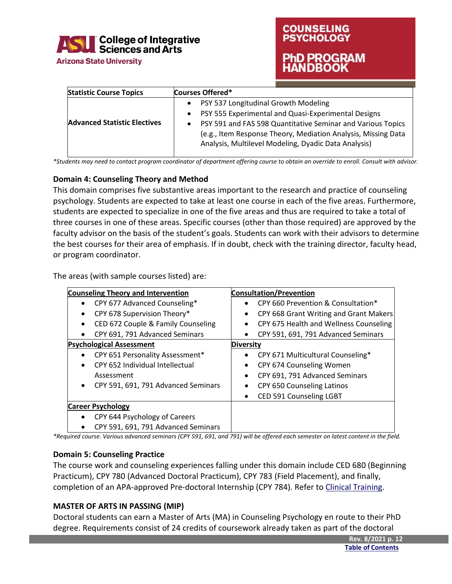

# **COUNSELING PSYCHOLOGY 1D PROGRAM**

| <b>Statistic Course Topics</b>      | <b>Courses Offered*</b>                                                                                                                                                                                                                                                                                            |
|-------------------------------------|--------------------------------------------------------------------------------------------------------------------------------------------------------------------------------------------------------------------------------------------------------------------------------------------------------------------|
| <b>Advanced Statistic Electives</b> | PSY 537 Longitudinal Growth Modeling<br>$\bullet$<br>PSY 555 Experimental and Quasi-Experimental Designs<br>٠<br>PSY 591 and FAS 598 Quantitative Seminar and Various Topics<br>$\bullet$<br>(e.g., Item Response Theory, Mediation Analysis, Missing Data<br>Analysis, Multilevel Modeling, Dyadic Data Analysis) |

*\*Students may need to contact program coordinator of department offering course to obtain an override to enroll. Consult with advisor.*

#### **Domain 4: Counseling Theory and Method**

This domain comprises five substantive areas important to the research and practice of counseling psychology. Students are expected to take at least one course in each of the five areas. Furthermore, students are expected to specialize in one of the five areas and thus are required to take a total of three courses in one of these areas. Specific courses (other than those required) are approved by the faculty advisor on the basis of the student's goals. Students can work with their advisors to determine the best courses for their area of emphasis. If in doubt, check with the training director, faculty head, or program coordinator.

The areas (with sample courses listed) are:

<span id="page-12-0"></span>

| <b>Counseling Theory and Intervention</b>        | <b>Consultation/Prevention</b>                      |
|--------------------------------------------------|-----------------------------------------------------|
| CPY 677 Advanced Counseling*<br>$\bullet$        | CPY 660 Prevention & Consultation*<br>$\bullet$     |
| CPY 678 Supervision Theory*<br>٠                 | CPY 668 Grant Writing and Grant Makers<br>$\bullet$ |
| CED 672 Couple & Family Counseling               | CPY 675 Health and Wellness Counseling              |
| CPY 691, 791 Advanced Seminars<br>٠              | CPY 591, 691, 791 Advanced Seminars<br>$\bullet$    |
| <b>Psychological Assessment</b>                  | <b>Diversity</b>                                    |
| CPY 651 Personality Assessment*                  | CPY 671 Multicultural Counseling*<br>$\bullet$      |
| CPY 652 Individual Intellectual                  | CPY 674 Counseling Women<br>$\bullet$               |
| Assessment                                       | CPY 691, 791 Advanced Seminars                      |
| CPY 591, 691, 791 Advanced Seminars<br>$\bullet$ | CPY 650 Counseling Latinos                          |
|                                                  | <b>CED 591 Counseling LGBT</b>                      |
| <b>Career Psychology</b>                         |                                                     |
| CPY 644 Psychology of Careers                    |                                                     |
| CPY 591, 691, 791 Advanced Seminars              |                                                     |

*\*Required course. Various advanced seminars (CPY 591, 691, and 791) will be offered each semester on latest content in the field.*

#### **Domain 5: Counseling Practice**

The course work and counseling experiences falling under this domain include CED 680 (Beginning Practicum), CPY 780 (Advanced Doctoral Practicum), CPY 783 (Field Placement), and finally, completion of an APA-approved Pre-doctoral Internship (CPY 784). Refer to Clinical [Training.](#page-14-0)

#### **MASTER OF ARTS IN PASSING (MIP)**

Doctoral students can earn a Master of Arts (MA) in Counseling Psychology en route to their PhD degree. Requirements consist of 24 credits of coursework already taken as part of the doctoral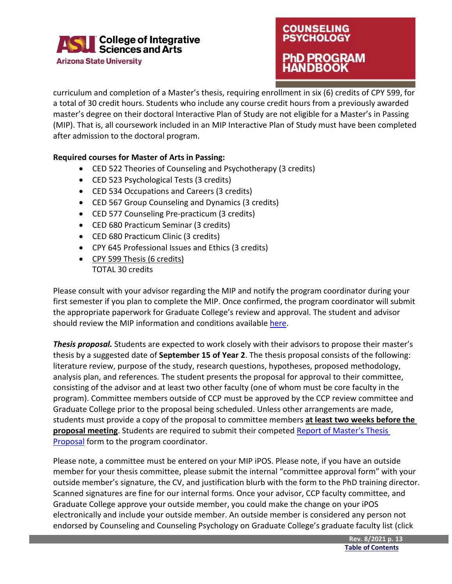

### **COUNSELING PSYCHOLOGY** PhD PROGRAM ANDBOOK

curriculum and completion of a Master's thesis, requiring enrollment in six (6) credits of CPY 599, for a total of 30 credit hours. Students who include any course credit hours from a previously awarded master's degree on their doctoral Interactive Plan of Study are not eligible for a Master's in Passing (MIP). That is, all coursework included in an MIP Interactive Plan of Study must have been completed after admission to the doctoral program.

#### **Required courses for Master of Arts in Passing:**

- CED 522 Theories of Counseling and Psychotherapy (3 credits)
- CED 523 Psychological Tests (3 credits)
- CED 534 Occupations and Careers (3 credits)
- CED 567 Group Counseling and Dynamics (3 credits)
- CED 577 Counseling Pre-practicum (3 credits)
- CED 680 Practicum Seminar (3 credits)
- CED 680 Practicum Clinic (3 credits)
- CPY 645 Professional Issues and Ethics (3 credits)
- CPY 599 Thesis (6 credits) TOTAL 30 credits

Please consult with your advisor regarding the MIP and notify the program coordinator during your first semester if you plan to complete the MIP. Once confirmed, the program coordinator will submit the appropriate paperwork for Graduate College's review and approval. The student and advisor should review the MIP information and conditions available [here.](https://graduate.asu.edu/sites/default/files/masters_in_passing_mip_process_1.pdf)

*Thesis proposal.* Students are expected to work closely with their advisors to propose their master's thesis by a suggested date of **September 15 of Year 2**. The thesis proposal consists of the following: literature review, purpose of the study, research questions, hypotheses, proposed methodology, analysis plan, and references. The student presents the proposal for approval to their committee, consisting of the advisor and at least two other faculty (one of whom must be core faculty in the program). Committee members outside of CCP must be approved by the CCP review committee and Graduate College prior to the proposal being scheduled. Unless other arrangements are made, students must provide a copy of the proposal to committee members **at least two weeks before the proposal meeting**. Students are required to submit their competed [Report of Master's Thesis](https://cisa.asu.edu/graduate/ccp/forms)  [Proposal](https://cisa.asu.edu/graduate/ccp/forms) form to the program coordinator.

Please note, a committee must be entered on your MIP iPOS. Please note, if you have an outside member for your thesis committee, please submit the internal "committee approval form" with your outside member's signature, the CV, and justification blurb with the form to the PhD training director. Scanned signatures are fine for our internal forms. Once your advisor, CCP faculty committee, and Graduate College approve your outside member, you could make the change on your iPOS electronically and include your outside member. An outside member is considered any person not endorsed by Counseling and Counseling Psychology on Graduate College's graduate faculty list (click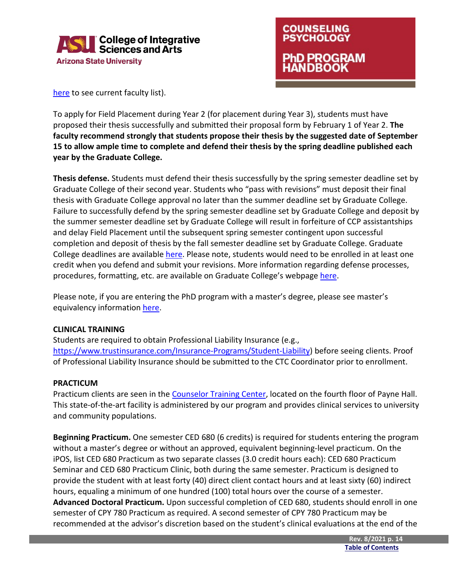



[here](https://graduateapps.asu.edu/graduate-faculty/degree/EDCPSYPHD) to see current faculty list).

To apply for Field Placement during Year 2 (for placement during Year 3), students must have proposed their thesis successfully and submitted their proposal form by February 1 of Year 2. **The faculty recommend strongly that students propose their thesis by the suggested date of September 15 to allow ample time to complete and defend their thesis by the spring deadline published each year by the Graduate College.**

**Thesis defense.** Students must defend their thesis successfully by the spring semester deadline set by Graduate College of their second year. Students who "pass with revisions" must deposit their final thesis with Graduate College approval no later than the summer deadline set by Graduate College. Failure to successfully defend by the spring semester deadline set by Graduate College and deposit by the summer semester deadline set by Graduate College will result in forfeiture of CCP assistantships and delay Field Placement until the subsequent spring semester contingent upon successful completion and deposit of thesis by the fall semester deadline set by Graduate College. Graduate College deadlines are available [here.](https://graduate.asu.edu/current-students/policies-forms-and-deadlines/graduation-deadlines) Please note, students would need to be enrolled in at least one credit when you defend and submit your revisions. More information regarding defense processes, procedures, formatting, etc. are available on Graduate College's webpag[e here.](https://graduate.asu.edu/current-students/completing-your-degree/about-your-defense)

Please note, if you are entering the PhD program with a master's degree, please see master's equivalency information [here.](#page-16-0)

#### <span id="page-14-1"></span><span id="page-14-0"></span>**CLINICAL TRAINING**

Students are required to obtain Professional Liability Insurance (e.g., [https://www.trustinsurance.com/Insurance-Programs/Student-Liability\)](https://www.trustinsurance.com/Insurance-Programs/Student-Liability) before seeing clients. Proof of Professional Liability Insurance should be submitted to the CTC Coordinator prior to enrollment.

#### **PRACTICUM**

Practicum clients are seen in the [Counselor Training Center,](https://cisa.asu.edu/graduate/ccp/ctc) located on the fourth floor of Payne Hall. This state-of-the-art facility is administered by our program and provides clinical services to university and community populations.

**Beginning Practicum.** One semester CED 680 (6 credits) is required for students entering the program without a master's degree or without an approved, equivalent beginning-level practicum. On the iPOS, list CED 680 Practicum as two separate classes (3.0 credit hours each): CED 680 Practicum Seminar and CED 680 Practicum Clinic, both during the same semester. Practicum is designed to provide the student with at least forty (40) direct client contact hours and at least sixty (60) indirect hours, equaling a minimum of one hundred (100) total hours over the course of a semester. **Advanced Doctoral Practicum.** Upon successful completion of CED 680, students should enroll in one semester of CPY 780 Practicum as required. A second semester of CPY 780 Practicum may be recommended at the advisor's discretion based on the student's clinical evaluations at the end of the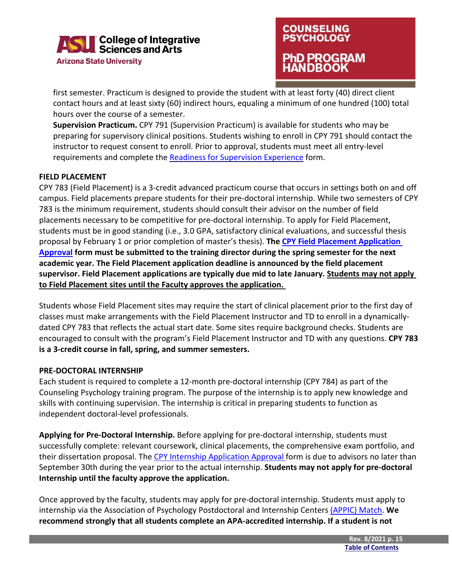



first semester. Practicum is designed to provide the student with at least forty (40) direct client contact hours and at least sixty (60) indirect hours, equaling a minimum of one hundred (100) total hours over the course of a semester.

**Supervision Practicum.** CPY 791 (Supervision Practicum) is available for students who may be preparing for supervisory clinical positions. Students wishing to enroll in CPY 791 should contact the instructor to request consent to enroll. Prior to approval, students must meet all entry-level requirements and complete the [Readiness for Supervision Experience](https://cisa.asu.edu/graduate/ccp/forms) form.

#### <span id="page-15-0"></span>**FIELD PLACEMENT**

CPY 783 (Field Placement) is a 3-credit advanced practicum course that occurs in settings both on and off campus. Field placements prepare students for their pre-doctoral internship. While two semesters of CPY 783 is the minimum requirement, students should consult their advisor on the number of field placements necessary to be competitive for pre-doctoral internship. To apply for Field Placement, students must be in good standing (i.e., 3.0 GPA, satisfactory clinical evaluations, and successful thesis proposal by February 1 or prior completion of master's thesis). **The [CPY Field Placement](https://cisa.asu.edu/graduate/ccp/forms) Application [Approval](https://cisa.asu.edu/graduate/ccp/forms) form must be submitted to the training director during the spring semester for the next academic year. The Field Placement application deadline is announced by the field placement supervisor. Field Placement applications are typically due mid to late January. Students may not apply to Field Placement sites until the Faculty approves the application.**

Students whose Field Placement sites may require the start of clinical placement prior to the first day of classes must make arrangements with the Field Placement Instructor and TD to enroll in a dynamicallydated CPY 783 that reflects the actual start date. Some sites require background checks. Students are encouraged to consult with the program's Field Placement Instructor and TD with any questions. **CPY 783 is a 3-credit course in fall, spring, and summer semesters.**

#### <span id="page-15-1"></span>**PRE-DOCTORAL INTERNSHIP**

Each student is required to complete a 12-month pre-doctoral internship (CPY 784) as part of the Counseling Psychology training program. The purpose of the internship is to apply new knowledge and skills with continuing supervision. The internship is critical in preparing students to function as independent doctoral-level professionals.

**Applying for Pre-Doctoral Internship.** Before applying for pre-doctoral internship, students must successfully complete: relevant coursework, clinical placements, the comprehensive exam portfolio, and their dissertation proposal. Th[e CPY Internship Application Approval f](https://cisa.asu.edu/graduate/ccp/forms)orm is due to advisors no later than September 30th during the year prior to the actual internship. **Students may not apply for pre-doctoral Internship until the faculty approve the application.**

Once approved by the faculty, students may apply for pre-doctoral internship. Students must apply to internship via the Association of Psychology Postdoctoral and Internship Centers [\(APPIC\) Match.](https://www.appic.org/Match/About-The-APPIC-Match) **We recommend strongly that all students complete an APA-accredited internship. If a student is not**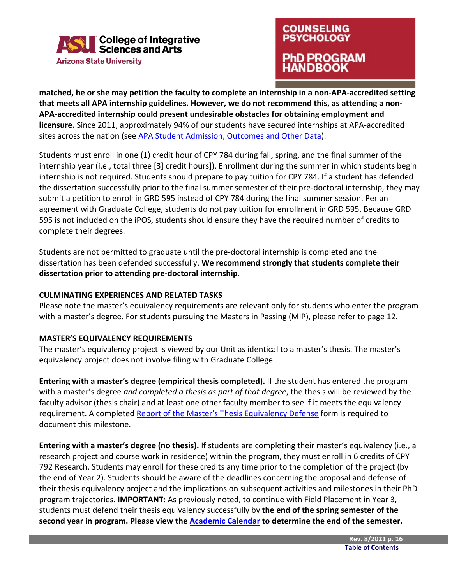

### **COUNSELING PSYCHOLOGY** PhD PROGRAM **ANDBOOK**

**matched, he or she may petition the faculty to complete an internship in a non-APA-accredited setting that meets all APA internship guidelines. However, we do not recommend this, as attending a non-APA-accredited internship could present undesirable obstacles for obtaining employment and licensure.** Since 2011, approximately 94% of our students have secured internships at APA-accredited sites across the nation (see [APA Student Admission, Outcomes and Other Data\)](https://cisa.asu.edu/graduate/ccp/CP_Student-Resources).

Students must enroll in one (1) credit hour of CPY 784 during fall, spring, and the final summer of the internship year (i.e., total three [3] credit hours]). Enrollment during the summer in which students begin internship is not required. Students should prepare to pay tuition for CPY 784. If a student has defended the dissertation successfully prior to the final summer semester of their pre-doctoral internship, they may submit a petition to enroll in GRD 595 instead of CPY 784 during the final summer session. Per an agreement with Graduate College, students do not pay tuition for enrollment in GRD 595. Because GRD 595 is not included on the iPOS, students should ensure they have the required number of credits to complete their degrees.

Students are not permitted to graduate until the pre-doctoral internship is completed and the dissertation has been defended successfully. **We recommend strongly that students complete their dissertation prior to attending pre-doctoral internship**.

#### <span id="page-16-1"></span>**CULMINATING EXPERIENCES AND RELATED TASKS**

Please note the master's equivalency requirements are relevant only for students who enter the program with a master's degree. For students pursuing the Masters in Passing (MIP), please refer to page 12.

#### **MASTER'S EQUIVALENCY REQUIREMENTS**

<span id="page-16-0"></span>The master's equivalency project is viewed by our Unit as identical to a master's thesis. The master's equivalency project does not involve filing with Graduate College.

**Entering with a master's degree (empirical thesis completed).** If the student has entered the program with a master's degree *and completed a thesis as part of that degree*, the thesis will be reviewed by the faculty advisor (thesis chair) and at least one other faculty member to see if it meets the equivalency requirement. A completed [Report of the Master's Thesis Equivalency Defense](https://cisa.asu.edu/graduate/ccp/forms) form is required to document this milestone.

**Entering with a master's degree (no thesis).** If students are completing their master's equivalency (i.e., a research project and course work in residence) within the program, they must enroll in 6 credits of CPY 792 Research. Students may enroll for these credits any time prior to the completion of the project (by the end of Year 2). Students should be aware of the deadlines concerning the proposal and defense of their thesis equivalency project and the implications on subsequent activities and milestones in their PhD program trajectories. **IMPORTANT**: As previously noted, to continue with Field Placement in Year 3, students must defend their thesis equivalency successfully by **the end of the spring semester of the second year in program. Please view the [Academic Calendar](https://students.asu.edu/academic-calendar) to determine the end of the semester.**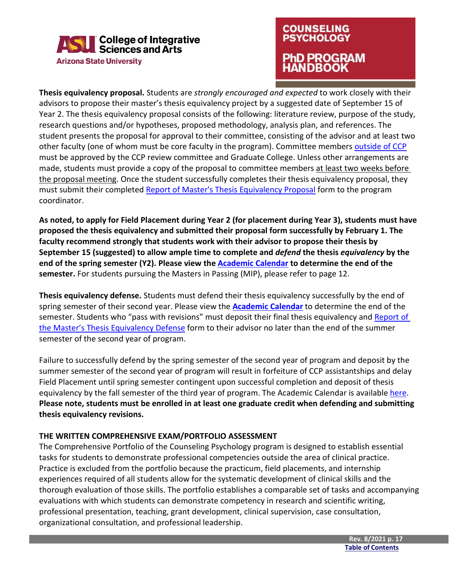

### **COUNSELING PSYCHOLOGY** PhD PROGRAM ANDBOOK

**Thesis equivalency proposal.** Students are *strongly encouraged and expected* to work closely with their advisors to propose their master's thesis equivalency project by a suggested date of September 15 of Year 2. The thesis equivalency proposal consists of the following: literature review, purpose of the study, research questions and/or hypotheses, proposed methodology, analysis plan, and references. The student presents the proposal for approval to their committee, consisting of the advisor and at least two other faculty (one of whom must be core faculty in the program). Committee members [outside of CCP](#page-20-0) must be approved by the CCP review committee and Graduate College. Unless other arrangements are made, students must provide a copy of the proposal to committee members at least two weeks before the proposal meeting. Once the student successfully completes their thesis equivalency proposal, they must submit their completed Report of Master's [Thesis Equivalency Proposal](https://cisa.asu.edu/graduate/ccp/forms) form to the program coordinator.

**As noted, to apply for Field Placement during Year 2 (for placement during Year 3), students must have proposed the thesis equivalency and submitted their proposal form successfully by February 1. The faculty recommend strongly that students work with their advisor to propose their thesis by September 15 (suggested) to allow ample time to complete and** *defend* **the thesis** *equivalency* **by the end of the spring semester (Y2). Please view the [Academic Calendar](https://students.asu.edu/academic-calendar) to determine the end of the semester.** For students pursuing the Masters in Passing (MIP), please refer to page 12.

**Thesis equivalency defense.** Students must defend their thesis equivalency successfully by the end of spring semester of their second year. Please view the **[Academic Calendar](https://students.asu.edu/academic-calendar)** to determine the end of the semester. Students who "pass with revisions" must deposit their final thesis equivalency and [Report of](https://cisa.asu.edu/graduate/ccp/forms)  [the Master's Thesis Equivalency Defense](https://cisa.asu.edu/graduate/ccp/forms) form to their advisor no later than the end of the summer semester of the second year of program.

Failure to successfully defend by the spring semester of the second year of program and deposit by the summer semester of the second year of program will result in forfeiture of CCP assistantships and delay Field Placement until spring semester contingent upon successful completion and deposit of thesis equivalency by the fall semester of the third year of program. The Academic Calendar is available [here.](https://students.asu.edu/academic-calendar) **Please note, students must be enrolled in at least one graduate credit when defending and submitting thesis equivalency revisions.**

#### <span id="page-17-0"></span>**THE WRITTEN COMPREHENSIVE EXAM/PORTFOLIO ASSESSMENT**

The Comprehensive Portfolio of the Counseling Psychology program is designed to establish essential tasks for students to demonstrate professional competencies outside the area of clinical practice. Practice is excluded from the portfolio because the practicum, field placements, and internship experiences required of all students allow for the systematic development of clinical skills and the thorough evaluation of those skills. The portfolio establishes a comparable set of tasks and accompanying evaluations with which students can demonstrate competency in research and scientific writing, professional presentation, teaching, grant development, clinical supervision, case consultation, organizational consultation, and professional leadership.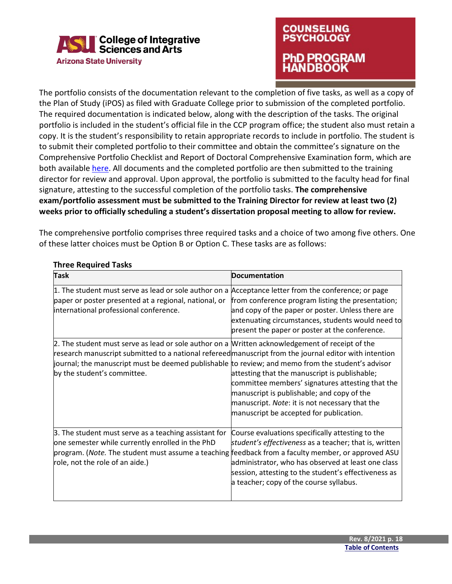

### **COUNSELING PSYCHOLOGY** PhD PROGRAM **HANDBOOK**

The portfolio consists of the documentation relevant to the completion of five tasks, as well as a copy of the Plan of Study (iPOS) as filed with Graduate College prior to submission of the completed portfolio. The required documentation is indicated below, along with the description of the tasks. The original portfolio is included in the student's official file in the CCP program office; the student also must retain a copy. It is the student's responsibility to retain appropriate records to include in portfolio. The student is to submit their completed portfolio to their committee and obtain the committee's signature on the Comprehensive Portfolio Checklist and [Report of Doctoral](https://cisa.asu.edu/graduate/ccp/forms) Comprehensive Examination form, which are both availabl[e here.](https://cisa.asu.edu/graduate/ccp/forms) All documents and the completed portfolio are then submitted to the training director for review and approval. Upon approval, the portfolio is submitted to the faculty head for final signature, attesting to the successful completion of the portfolio tasks. **The comprehensive exam/portfolio assessment must be submitted to the Training Director for review at least two (2) weeks prior to officially scheduling a student's dissertation proposal meeting to allow for review.**

The comprehensive portfolio comprises three required tasks and a choice of two among five others. One of these latter choices must be Option B or Option C. These tasks are as follows:

| <b>Task</b>                                                                                                                                                                                                                                                                                                                                   | Documentation                                                                                                                                                                                                                                                       |
|-----------------------------------------------------------------------------------------------------------------------------------------------------------------------------------------------------------------------------------------------------------------------------------------------------------------------------------------------|---------------------------------------------------------------------------------------------------------------------------------------------------------------------------------------------------------------------------------------------------------------------|
| 1. The student must serve as lead or sole author on a Acceptance letter from the conference; or page<br>paper or poster presented at a regional, national, or<br>international professional conference.                                                                                                                                       | from conference program listing the presentation;<br>and copy of the paper or poster. Unless there are<br>extenuating circumstances, students would need to<br>present the paper or poster at the conference.                                                       |
| 2. The student must serve as lead or sole author on a Written acknowledgement of receipt of the<br>research manuscript submitted to a national refereed manuscript from the journal editor with intention<br>journal; the manuscript must be deemed publishable to review; and memo from the student's advisor<br>by the student's committee. | attesting that the manuscript is publishable;<br>committee members' signatures attesting that the<br>manuscript is publishable; and copy of the<br>manuscript. Note: it is not necessary that the<br>manuscript be accepted for publication.                        |
| 3. The student must serve as a teaching assistant for<br>one semester while currently enrolled in the PhD<br>program. (Note. The student must assume a teaching feedback from a faculty member, or approved ASU<br>role, not the role of an aide.)                                                                                            | Course evaluations specifically attesting to the<br>student's effectiveness as a teacher; that is, written<br>administrator, who has observed at least one class<br>session, attesting to the student's effectiveness as<br>a teacher; copy of the course syllabus. |

#### **Three Required Tasks**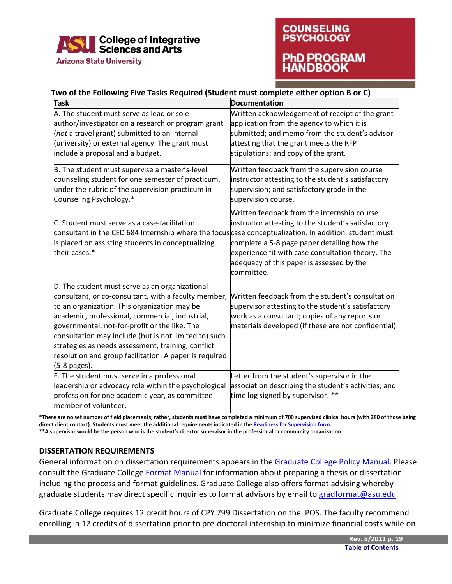

### **COUNSELING PSYCHOLOGY** PhD PROGRAM **NDROOK**

#### **Two of the Following Five Tasks Required (Student must complete either option B or C)**

| Task                                                                                                                                                                                                                                                                                                                                                                                                                                                | <b>Documentation</b>                                                                                                                                                                                                                                             |
|-----------------------------------------------------------------------------------------------------------------------------------------------------------------------------------------------------------------------------------------------------------------------------------------------------------------------------------------------------------------------------------------------------------------------------------------------------|------------------------------------------------------------------------------------------------------------------------------------------------------------------------------------------------------------------------------------------------------------------|
| A. The student must serve as lead or sole<br>author/investigator on a research or program grant                                                                                                                                                                                                                                                                                                                                                     | Written acknowledgement of receipt of the grant<br>application from the agency to which it is                                                                                                                                                                    |
| (not a travel grant) submitted to an internal                                                                                                                                                                                                                                                                                                                                                                                                       | submitted; and memo from the student's advisor                                                                                                                                                                                                                   |
| (university) or external agency. The grant must                                                                                                                                                                                                                                                                                                                                                                                                     | attesting that the grant meets the RFP                                                                                                                                                                                                                           |
| include a proposal and a budget.                                                                                                                                                                                                                                                                                                                                                                                                                    | stipulations; and copy of the grant.                                                                                                                                                                                                                             |
|                                                                                                                                                                                                                                                                                                                                                                                                                                                     |                                                                                                                                                                                                                                                                  |
| B. The student must supervise a master's-level<br>counseling student for one semester of practicum,<br>under the rubric of the supervision practicum in<br>Counseling Psychology.*                                                                                                                                                                                                                                                                  | Written feedback from the supervision course<br>instructor attesting to the student's satisfactory<br>supervision; and satisfactory grade in the<br>supervision course.                                                                                          |
| C. Student must serve as a case-facilitation<br>consultant in the CED 684 Internship where the focus case conceptualization. In addition, student must<br>is placed on assisting students in conceptualizing<br>their cases.*                                                                                                                                                                                                                       | Written feedback from the internship course<br>instructor attesting to the student's satisfactory<br>complete a 5-8 page paper detailing how the<br>experience fit with case consultation theory. The<br>adequacy of this paper is assessed by the<br>committee. |
| D. The student must serve as an organizational<br>consultant, or co-consultant, with a faculty member,<br>to an organization. This organization may be<br>academic, professional, commercial, industrial,<br>governmental, not-for-profit or the like. The<br>consultation may include (but is not limited to) such<br>strategies as needs assessment, training, conflict<br>resolution and group facilitation. A paper is required<br>(5-8 pages). | Written feedback from the student's consultation<br>supervisor attesting to the student's satisfactory<br>work as a consultant; copies of any reports or<br>materials developed (if these are not confidential).                                                 |
| E. The student must serve in a professional<br>leadership or advocacy role within the psychological<br>profession for one academic year, as committee<br>member of volunteer.                                                                                                                                                                                                                                                                       | Letter from the student's supervisor in the<br>association describing the student's activities; and<br>time log signed by supervisor. **                                                                                                                         |

**\*There are no set number of field placements; rather, students must have completed a minimum of 700 supervised clinical hours (with 280 of those being direct client contact). Students must meet the additional requirements indicated in the [Readiness for Supervision form.](https://cisa.asu.edu/graduate/ccp/forms)**

**\*\*A supervisor would be the person who is the student's director supervisor in the professional or community organization.**

#### <span id="page-19-0"></span>**DISSERTATION REQUIREMENTS**

General information on dissertation requirements appears in the [Graduate College Policy Manual.](https://graduate.asu.edu/current-students/policies-forms-and-deadlines/policy-manuals) Please consult the Graduate College [Format Manual](https://graduate.asu.edu/current-students/completing-your-degree/formatting-your-thesis-or-dissertation/asu-graduate-college) for information about preparing a thesis or dissertation including the process and format guidelines. Graduate College also offers format advising whereby graduate students may direct specific inquiries to format advisors by email to [gradformat@asu.edu.](mailto:gradformat@asu.edu)

Graduate College requires 12 credit hours of CPY 799 Dissertation on the iPOS. The faculty recommend enrolling in 12 credits of dissertation prior to pre-doctoral internship to minimize financial costs while on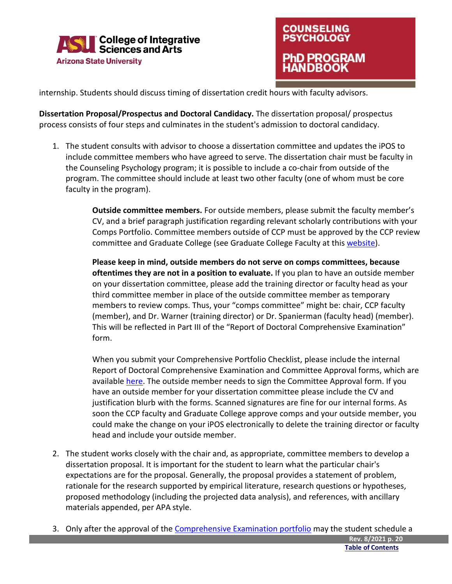



internship. Students should discuss timing of dissertation credit hours with faculty advisors.

**Dissertation Proposal/Prospectus and Doctoral Candidacy.** The dissertation proposal/ prospectus process consists of four steps and culminates in the student's admission to doctoral candidacy.

1. The student consults with advisor to choose a dissertation committee and updates the iPOS to include committee members who have agreed to serve. The dissertation chair must be faculty in the Counseling Psychology program; it is possible to include a co-chair from outside of the program. The committee should include at least two other faculty (one of whom must be core faculty in the program).

> <span id="page-20-0"></span>**Outside committee members.** For outside members, please submit the faculty member's CV, and a brief paragraph justification regarding relevant scholarly contributions with your Comps Portfolio. Committee members outside of CCP must be approved by the CCP review committee and Graduate College (see Graduate College Faculty at this [website\)](https://graduateapps.asu.edu/graduate-faculty/degree/EDCPSYPHD).

**Please keep in mind, outside members do not serve on comps committees, because oftentimes they are not in a position to evaluate.** If you plan to have an outside member on your dissertation committee, please add the training director or faculty head as your third committee member in place of the outside committee member as temporary members to review comps. Thus, your "comps committee" might be: chair, CCP faculty (member), and Dr. Warner (training director) or Dr. Spanierman (faculty head) (member). This will be reflected in Part III of the "Report of Doctoral Comprehensive Examination" form.

When you submit your Comprehensive Portfolio Checklist, please include the internal Report of Doctoral Comprehensive Examination and Committee Approval forms, which are available [here.](https://cisa.asu.edu/graduate/ccp/forms) The outside member needs to sign the Committee Approval form. If you have an outside member for your dissertation committee please include the CV and justification blurb with the forms. Scanned signatures are fine for our internal forms. As soon the CCP faculty and Graduate College approve comps and your outside member, you could make the change on your iPOS electronically to delete the training director or faculty head and include your outside member.

- 2. The student works closely with the chair and, as appropriate, committee members to develop a dissertation proposal. It is important for the student to learn what the particular chair's expectations are for the proposal. Generally, the proposal provides a statement of problem, rationale for the research supported by empirical literature, research questions or hypotheses, proposed methodology (including the projected data analysis), and references, with ancillary materials appended, per APA style.
- 3. Only after the approval of the [Comprehensive Examination portfolio](#page-17-0) may the student schedule a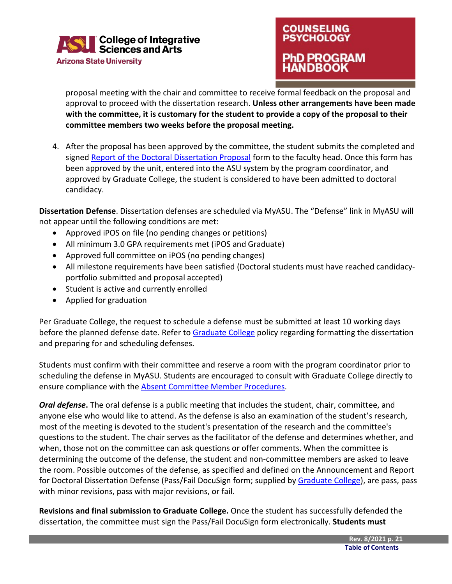

### **COUNSELING PSYCHOLOGY** PhD PROGRAM **ANDBOOK**

proposal meeting with the chair and committee to receive formal feedback on the proposal and approval to proceed with the dissertation research. **Unless other arrangements have been made with the committee, it is customary for the student to provide a copy of the proposal to their committee members two weeks before the proposal meeting.**

4. After the proposal has been approved by the committee, the student submits the completed and signed [Report of the Doctoral Dissertation Proposal](https://cisa.asu.edu/graduate/ccp/forms) form to the faculty head. Once this form has been approved by the unit, entered into the ASU system by the program coordinator, and approved by Graduate College, the student is considered to have been admitted to doctoral candidacy.

**Dissertation Defense**. Dissertation defenses are scheduled via MyASU. The "Defense" link in MyASU will not appear until the following conditions are met:

- Approved iPOS on file (no pending changes or petitions)
- All minimum 3.0 GPA requirements met (iPOS and Graduate)
- Approved full committee on iPOS (no pending changes)
- All milestone requirements have been satisfied (Doctoral students must have reached candidacyportfolio submitted and proposal accepted)
- Student is active and currently enrolled
- Applied for graduation

Per Graduate College, the request to schedule a defense must be submitted at least 10 working days before the planned defense date. Refer to [Graduate College](https://graduate.asu.edu/completing-your-degree#tabs-0-content_main-7) policy regarding formatting the dissertation and preparing for and scheduling defenses.

Students must confirm with their committee and reserve a room with the program coordinator prior to scheduling the defense in MyASU. Students are encouraged to consult with Graduate College directly to ensure compliance with the [Absent Committee Member Procedures.](https://graduate.asu.edu/sites/default/files/absent-committee-member-procedures.pdf)

*Oral defense***.** The oral defense is a public meeting that includes the student, chair, committee, and anyone else who would like to attend. As the defense is also an examination of the student's research, most of the meeting is devoted to the student's presentation of the research and the committee's questions to the student. The chair serves as the facilitator of the defense and determines whether, and when, those not on the committee can ask questions or offer comments. When the committee is determining the outcome of the defense, the student and non-committee members are asked to leave the room. Possible outcomes of the defense, as specified and defined on the Announcement and Report for Doctoral Dissertation Defense (Pass/Fail DocuSign form; supplied by [Graduate College\)](https://graduate.asu.edu/completing-your-degree#tabs-0-content_main-7), are pass, pass with minor revisions, pass with major revisions, or fail.

**Revisions and final submission to Graduate College.** Once the student has successfully defended the dissertation, the committee must sign the Pass/Fail DocuSign form electronically. **Students must**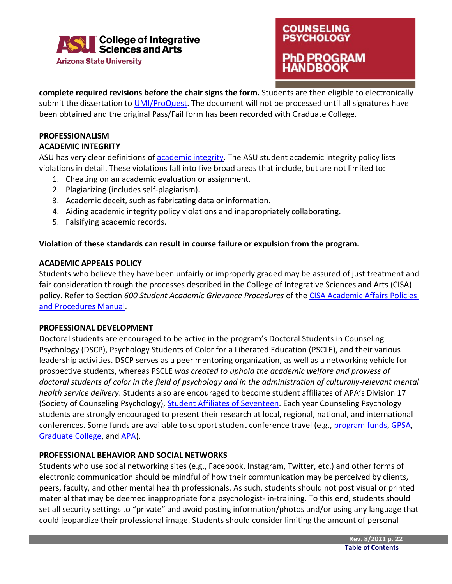

### <span id="page-22-2"></span><span id="page-22-0"></span>**COUNSELING PSYCHOLOGY** hD PROGRAM **NDBOOK**

**complete required revisions before the chair signs the form.** Students are then eligible to electronically submit the dissertation to *UMI/ProQuest*. The document will not be processed until all signatures have been obtained and the original Pass/Fail form has been recorded with Graduate College.

#### <span id="page-22-1"></span>**PROFESSIONALISM ACADEMIC INTEGRITY**

ASU has very clear definitions of [academic integrity.](https://provost.asu.edu/academic-integrity) The ASU student academic integrity policy lists violations in detail. These violations fall into five broad areas that include, but are not limited to:

- 1. Cheating on an academic evaluation or assignment.
- 2. Plagiarizing (includes self-plagiarism).
- 3. Academic deceit, such as fabricating data or information.
- 4. Aiding academic integrity policy violations and inappropriately collaborating.
- 5. Falsifying academic records.

#### **Violation of these standards can result in course failure or expulsion from the program.**

#### **ACADEMIC APPEALS POLICY**

Students who believe they have been unfairly or improperly graded may be assured of just treatment and fair consideration through the processes described in the College of Integrative Sciences and Arts (CISA) policy. Refer to Section *600 Student Academic Grievance Procedures* of the [CISA Academic Affairs Policies](https://cisa.asu.edu/sites/default/files/academic_affairs_policies_and_procedures_manual_1_11_19_final.pdf)  [and Procedures Manual.](https://cisa.asu.edu/sites/default/files/academic_affairs_policies_and_procedures_manual_1_11_19_final.pdf)

#### <span id="page-22-3"></span>**PROFESSIONAL DEVELOPMENT**

Doctoral students are encouraged to be active in the program's Doctoral Students in Counseling Psychology (DSCP), Psychology Students of Color for a Liberated Education (PSCLE), and their various leadership activities. DSCP serves as a peer mentoring organization, as well as a networking vehicle for prospective students, whereas PSCLE *was created to uphold the academic welfare and prowess of doctoral students of color in the field of psychology and in the administration of culturally-relevant mental health service delivery*. Students also are encouraged to become student affiliates of APA's Division 17 (Society of Counseling Psychology), [Student Affiliates of Seventeen.](https://www.div17.org/student-affiliates-of-seventeen--sas-#:%7E:text=Student%20Affiliates%20of%20Seventeen%20(SAS)%20is%20a%20national%20membership%20organization,counseling%20psychology%20and%20related%20fields.) Each year Counseling Psychology students are strongly encouraged to present their research at local, regional, national, and international conferences. Some funds are available to support student conference travel (e.g., [program funds,](https://cisa.asu.edu/graduate/ccp/forms) [GPSA,](https://gpsa.asu.edu/) [Graduate College,](https://graduate.asu.edu/current-students/funding-opportunities) and [APA\)](https://www.apa.org/about/awards).

#### <span id="page-22-4"></span>**PROFESSIONAL BEHAVIOR AND SOCIAL NETWORKS**

Students who use social networking sites (e.g., Facebook, Instagram, Twitter, etc.) and other forms of electronic communication should be mindful of how their communication may be perceived by clients, peers, faculty, and other mental health professionals. As such, students should not post visual or printed material that may be deemed inappropriate for a psychologist- in-training. To this end, students should set all security settings to "private" and avoid posting information/photos and/or using any language that could jeopardize their professional image. Students should consider limiting the amount of personal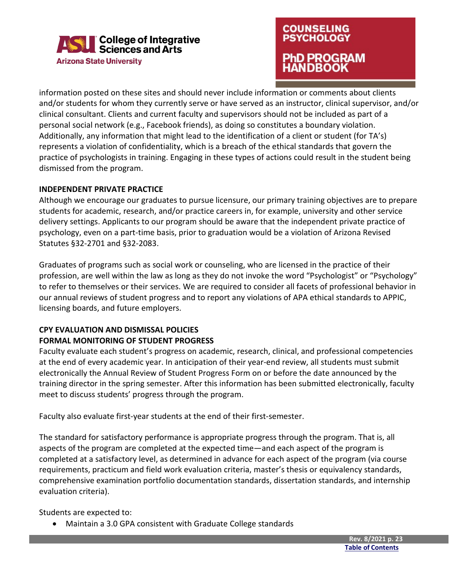

# **COUNSELING PSYCHOLOGY PROGRAM**

information posted on these sites and should never include information or comments about clients and/or students for whom they currently serve or have served as an instructor, clinical supervisor, and/or clinical consultant. Clients and current faculty and supervisors should not be included as part of a personal social network (e.g., Facebook friends), as doing so constitutes a boundary violation. Additionally, any information that might lead to the identification of a client or student (for TA's) represents a violation of confidentiality, which is a breach of the ethical standards that govern the practice of psychologists in training. Engaging in these types of actions could result in the student being dismissed from the program.

#### <span id="page-23-0"></span>**INDEPENDENT PRIVATE PRACTICE**

Although we encourage our graduates to pursue licensure, our primary training objectives are to prepare students for academic, research, and/or practice careers in, for example, university and other service delivery settings. Applicants to our program should be aware that the independent private practice of psychology, even on a part-time basis, prior to graduation would be a violation of Arizona Revised Statutes §32-2701 and §32-2083.

<span id="page-23-1"></span>Graduates of programs such as social work or counseling, who are licensed in the practice of their profession, are well within the law as long as they do not invoke the word "Psychologist" or "Psychology" to refer to themselves or their services. We are required to consider all facets of professional behavior in our annual reviews of student progress and to report any violations of APA ethical standards to APPIC, licensing boards, and future employers.

#### <span id="page-23-2"></span>**CPY EVALUATION AND DISMISSAL POLICIES FORMAL MONITORING OF STUDENT PROGRESS**

Faculty evaluate each student's progress on academic, research, clinical, and professional competencies at the end of every academic year. In anticipation of their year-end review, all students must submit electronically the Annual Review of Student Progress Form on or before the date announced by the training director in the spring semester. After this information has been submitted electronically, faculty meet to discuss students' progress through the program.

Faculty also evaluate first-year students at the end of their first-semester.

The standard for satisfactory performance is appropriate progress through the program. That is, all aspects of the program are completed at the expected time—and each aspect of the program is completed at a satisfactory level, as determined in advance for each aspect of the program (via course requirements, practicum and field work evaluation criteria, master's thesis or equivalency standards, comprehensive examination portfolio documentation standards, dissertation standards, and internship evaluation criteria).

Students are expected to:

• Maintain a 3.0 GPA consistent with Graduate College standards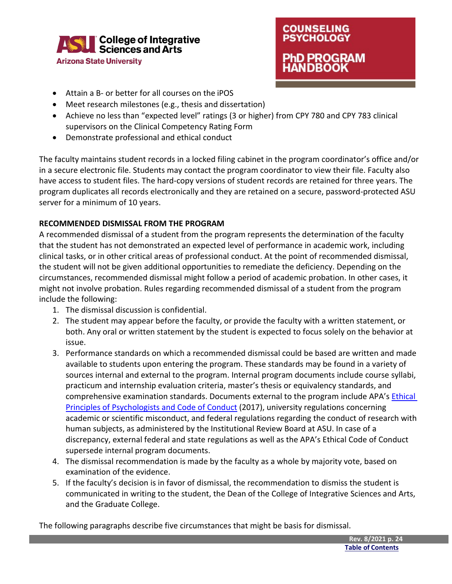

- Attain a B- or better for all courses on the iPOS
- Meet research milestones (e.g., thesis and dissertation)
- Achieve no less than "expected level" ratings (3 or higher) from CPY 780 and CPY 783 clinical supervisors on the Clinical Competency Rating Form
- Demonstrate professional and ethical conduct

The faculty maintains student records in a locked filing cabinet in the program coordinator's office and/or in a secure electronic file. Students may contact the program coordinator to view their file. Faculty also have access to student files. The hard-copy versions of student records are retained for three years. The program duplicates all records electronically and they are retained on a secure, password-protected ASU server for a minimum of 10 years.

#### <span id="page-24-0"></span>**RECOMMENDED DISMISSAL FROM THE PROGRAM**

A recommended dismissal of a student from the program represents the determination of the faculty that the student has not demonstrated an expected level of performance in academic work, including clinical tasks, or in other critical areas of professional conduct. At the point of recommended dismissal, the student will not be given additional opportunities to remediate the deficiency. Depending on the circumstances, recommended dismissal might follow a period of academic probation. In other cases, it might not involve probation. Rules regarding recommended dismissal of a student from the program include the following:

- 1. The dismissal discussion is confidential.
- 2. The student may appear before the faculty, or provide the faculty with a written statement, or both. Any oral or written statement by the student is expected to focus solely on the behavior at issue.
- 3. Performance standards on which a recommended dismissal could be based are written and made available to students upon entering the program. These standards may be found in a variety of sources internal and external to the program. Internal program documents include course syllabi, practicum and internship evaluation criteria, master's thesis or equivalency standards, and comprehensive examination standards. Documents external to the program include APA's Ethical [Principles of Psychologists and Code of Conduct](http://www.apa.org/ethics/code/ethics-code-2017.pdf) (2017), university regulations concerning academic or scientific misconduct, and federal regulations regarding the conduct of research with human subjects, as administered by the Institutional Review Board at ASU. In case of a discrepancy, external federal and state regulations as well as the APA's Ethical Code of Conduct supersede internal program documents.
- 4. The dismissal recommendation is made by the faculty as a whole by majority vote, based on examination of the evidence.
- 5. If the faculty's decision is in favor of dismissal, the recommendation to dismiss the student is communicated in writing to the student, the Dean of the College of Integrative Sciences and Arts, and the Graduate College.

The following paragraphs describe five circumstances that might be basis for dismissal.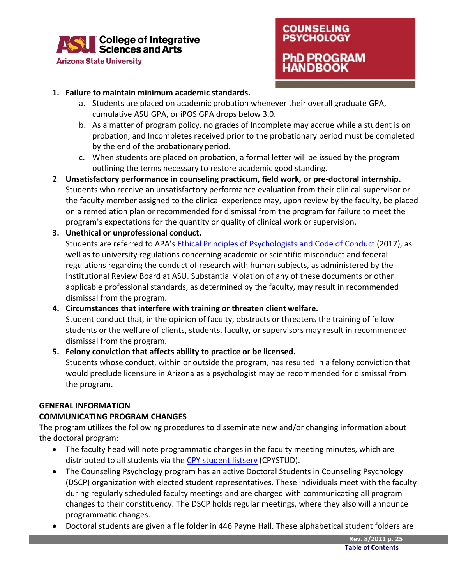

### **COUNSELING PSYCHOLOGY** PhD PROGRAM **NDBOOK**

#### **1. Failure to maintain minimum academic standards.**

- a. Students are placed on academic probation whenever their overall graduate GPA, cumulative ASU GPA, or iPOS GPA drops below 3.0.
- b. As a matter of program policy, no grades of Incomplete may accrue while a student is on probation, and Incompletes received prior to the probationary period must be completed by the end of the probationary period.
- c. When students are placed on probation, a formal letter will be issued by the program outlining the terms necessary to restore academic good standing.
- 2. **Unsatisfactory performance in counseling practicum, field work, or pre-doctoral internship.**  Students who receive an unsatisfactory performance evaluation from their clinical supervisor or the faculty member assigned to the clinical experience may, upon review by the faculty, be placed on a remediation plan or recommended for dismissal from the program for failure to meet the program's expectations for the quantity or quality of clinical work or supervision.
- **3. Unethical or unprofessional conduct.**

Students are referred to APA's [Ethical Principles of Psychologists and Code of Conduct](http://www.apa.org/ethics/code/ethics-code-2017.pdf) (2017), as well as to university regulations concerning academic or scientific misconduct and federal regulations regarding the conduct of research with human subjects, as administered by the Institutional Review Board at ASU. Substantial violation of any of these documents or other applicable professional standards, as determined by the faculty, may result in recommended dismissal from the program.

#### **4. Circumstances that interfere with training or threaten client welfare.**

Student conduct that, in the opinion of faculty, obstructs or threatens the training of fellow students or the welfare of clients, students, faculty, or supervisors may result in recommended dismissal from the program.

#### <span id="page-25-0"></span>**5. Felony conviction that affects ability to practice or be licensed.** Students whose conduct, within or outside the program, has resulted in a felony conviction that would preclude licensure in Arizona as a psychologist may be recommended for dismissal from the program.

#### **GENERAL INFORMATION**

#### **COMMUNICATING PROGRAM CHANGES**

The program utilizes the following procedures to disseminate new and/or changing information about the doctoral program:

- The faculty head will note programmatic changes in the faculty meeting minutes, which are distributed to all students via the [CPY student listserv](https://lists.asu.edu/cgi-bin/wa?SUBED1=CPYSTUD&A=1) (CPYSTUD).
- The Counseling Psychology program has an active Doctoral Students in Counseling Psychology (DSCP) organization with elected student representatives. These individuals meet with the faculty during regularly scheduled faculty meetings and are charged with communicating all program changes to their constituency. The DSCP holds regular meetings, where they also will announce programmatic changes.
- Doctoral students are given a file folder in 446 Payne Hall. These alphabetical student folders are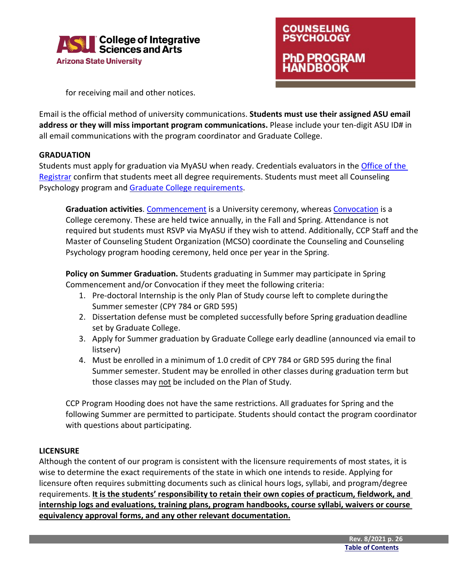



for receiving mail and other notices.

Email is the official method of university communications. **Students must use their assigned ASU email address or they will miss important program communications.** Please include your ten-digit ASU ID# in all email communications with the program coordinator and Graduate College.

#### **GRADUATION**

Students must apply for graduation via MyASU when ready. Credentials evaluators in the [Office](https://students.asu.edu/registration) of the [Registrar](https://students.asu.edu/registration) confirm that students meet all degree requirements. Students must meet all Counseling Psychology program an[d Graduate College requirements.](https://graduate.asu.edu/completing-your-degree#tabs-0-content_main-6)

**Graduation activities**[. Commencement](https://graduation.asu.edu/graduates/post-grad) is a University ceremony, whereas [Convocation](https://graduation.asu.edu/graduates/post-grad) is a College ceremony. These are held twice annually, in the Fall and Spring. Attendance is not required but students must RSVP via MyASU if they wish to attend. Additionally, CCP Staff and the Master of Counseling Student Organization (MCSO) coordinate the Counseling and Counseling Psychology program hooding ceremony, held once per year in the Spring.

**Policy on Summer Graduation.** Students graduating in Summer may participate in Spring Commencement and/or Convocation if they meet the following criteria:

- 1. Pre-doctoral Internship is the only Plan of Study course left to complete duringthe Summer semester (CPY 784 or GRD 595)
- 2. Dissertation defense must be completed successfully before Spring graduation deadline set by Graduate College.
- 3. Apply for Summer graduation by Graduate College early deadline (announced via email to listserv)
- 4. Must be enrolled in a minimum of 1.0 credit of CPY 784 or GRD 595 during the final Summer semester. Student may be enrolled in other classes during graduation term but those classes may not be included on the Plan of Study.

CCP Program Hooding does not have the same restrictions. All graduates for Spring and the following Summer are permitted to participate. Students should contact the program coordinator with questions about participating.

#### **LICENSURE**

Although the content of our program is consistent with the licensure requirements of most states, it is wise to determine the exact requirements of the state in which one intends to reside. Applying for licensure often requires submitting documents such as clinical hours logs, syllabi, and program/degree requirements. **It is the students' responsibility to retain their own copies of practicum, fieldwork, and internship logs and evaluations, training plans, program handbooks, course syllabi, waivers or course equivalency approval forms, and any other relevant documentation.**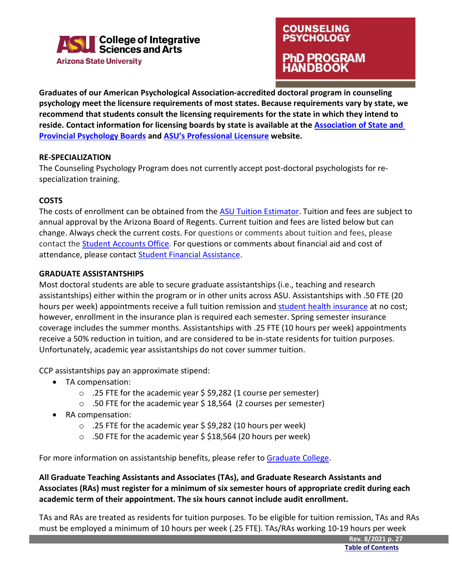

### **COUNSELING PSYCHOLOGY** PhD PROGRAM **NDBOOK**

**Graduates of our American Psychological Association-accredited doctoral program in counseling psychology meet the licensure requirements of most states. Because requirements vary by state, we recommend that students consult the licensing requirements for the state in which they intend to reside. Contact information for licensing boards by state is available at the [Association of State and](https://www.asppb.net/page/BdContactNewPG)  [Provincial Psychology Boards](https://www.asppb.net/page/BdContactNewPG) and [ASU's Professional Licensure](https://asuonline.asu.edu/about-us/licensure/) website.**

#### **RE-SPECIALIZATION**

The Counseling Psychology Program does not currently accept post-doctoral psychologists for respecialization training.

#### **COSTS**

The costs of enrollment can be obtained from th[e ASU Tuition Estimator.](http://students.asu.edu/costs) Tuition and fees are subject to annual approval by the Arizona Board of Regents. Current tuition and fees are listed below but can change. Always check the current costs. For questions or comments about tuition and fees, please contact the [Student Accounts Office.](https://students.asu.edu/contact-tuition-billing) For questions or comments about financial aid and cost of attendance, please contact [Student Financial Assistance.](https://students.asu.edu/contact/financialaid)

#### **GRADUATE ASSISTANTSHIPS**

Most doctoral students are able to secure graduate assistantships (i.e., teaching and research assistantships) either within the program or in other units across ASU. Assistantships with .50 FTE (20 hours per week) appointments receive a full tuition remission and [student health insurance](https://eoss.asu.edu/health/billing-insurance/coverage-options) at no cost; however, enrollment in the insurance plan is required each semester. Spring semester insurance coverage includes the summer months. Assistantships with .25 FTE (10 hours per week) appointments receive a 50% reduction in tuition, and are considered to be in-state residents for tuition purposes. Unfortunately, academic year assistantships do not cover summer tuition.

CCP assistantships pay an approximate stipend:

- TA compensation:
	- o .25 FTE for the academic year \$ \$9,282 (1 course per semester)
	- $\circ$  .50 FTE for the academic year \$18,564 (2 courses per semester)
- RA compensation:
	- o .25 FTE for the academic year \$ \$9,282 (10 hours per week)
	- $\circ$  .50 FTE for the academic year \$ \$18,564 (20 hours per week)

For more information on assistantship benefits, please refer to [Graduate College.](https://graduate.asu.edu/current-students/funding-opportunities/graduate-appointments-and-assistantships)

**All Graduate Teaching Assistants and Associates (TAs), and Graduate Research Assistants and Associates (RAs) must register for a minimum of six semester hours of appropriate credit during each academic term of their appointment. The six hours cannot include audit enrollment.**

TAs and RAs are treated as residents for tuition purposes. To be eligible for tuition remission, TAs and RAs must be employed a minimum of 10 hours per week (.25 FTE). TAs/RAs working 10-19 hours per week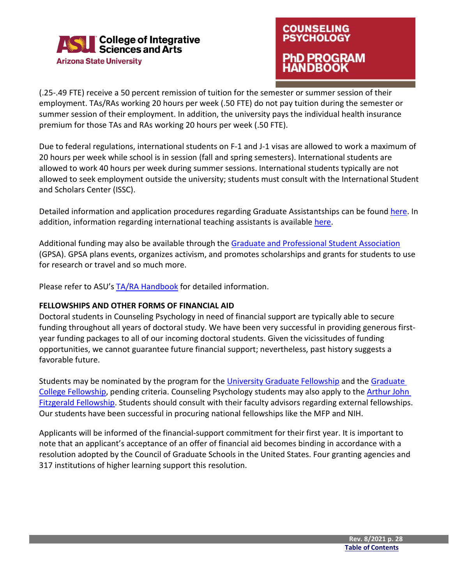

### **COUNSELING PSYCHOLOGY** D PROGRAM IDBOOK

(.25-.49 FTE) receive a 50 percent remission of tuition for the semester or summer session of their employment. TAs/RAs working 20 hours per week (.50 FTE) do not pay tuition during the semester or summer session of their employment. In addition, the university pays the individual health insurance premium for those TAs and RAs working 20 hours per week (.50 FTE).

Due to federal regulations, international students on F-1 and J-1 visas are allowed to work a maximum of 20 hours per week while school is in session (fall and spring semesters). International students are allowed to work 40 hours per week during summer sessions. International students typically are not allowed to seek employment outside the university; students must consult with the International Student and Scholars Center (ISSC).

Detailed information and application procedures regarding Graduate Assistantships can be found [here.](https://graduate.asu.edu/current-students/funding-opportunities/graduate-appointments-and-assistantships) In addition, information regarding international teaching assistants is available [here.](https://globallaunch.asu.edu/learn-english/special-programs/international-teaching-assistant)

Additional funding may also be available through the [Graduate and Professional Student Association](https://gpsa.asu.edu/) (GPSA). GPSA plans events, organizes activism, and promotes scholarships and grants for students to use for research or travel and so much more.

Please refer to ASU's [TA/RA Handbook](https://graduate.asu.edu/current-students/funding-opportunities/graduate-appointments-and-assistantships) for detailed information.

#### **FELLOWSHIPS AND OTHER FORMS OF FINANCIAL AID**

Doctoral students in Counseling Psychology in need of financial support are typically able to secure funding throughout all years of doctoral study. We have been very successful in providing generous firstyear funding packages to all of our incoming doctoral students. Given the vicissitudes of funding opportunities, we cannot guarantee future financial support; nevertheless, past history suggests a favorable future.

Students may be nominated by the program for the [University Graduate Fellowship](https://graduate.asu.edu/current-students/funding-opportunities/awards-and-fellowships/university-graduate-fellowships) and th[e Graduate](https://graduate.asu.edu/current-students/funding-opportunities/awards-and-fellowships/graduate-college-fellowship)  [College Fellowship,](https://graduate.asu.edu/current-students/funding-opportunities/awards-and-fellowships/graduate-college-fellowship) pending criteria. Counseling Psychology students may also apply to the **Arthur John** [Fitzgerald Fellowship.](https://scholarships.asu.edu/scholarship/510) Students should consult with their faculty advisors regarding external fellowships. Our students have been successful in procuring national fellowships like the MFP and NIH.

Applicants will be informed of the financial-support commitment for their first year. It is important to note that an applicant's acceptance of an offer of financial aid becomes binding in accordance with a [resolution adopted by the Council of Graduate Schools in the United States.](https://cgsnet.org/april-15-resolution) Four granting agencies and 317 institutions of higher learning support this resolution.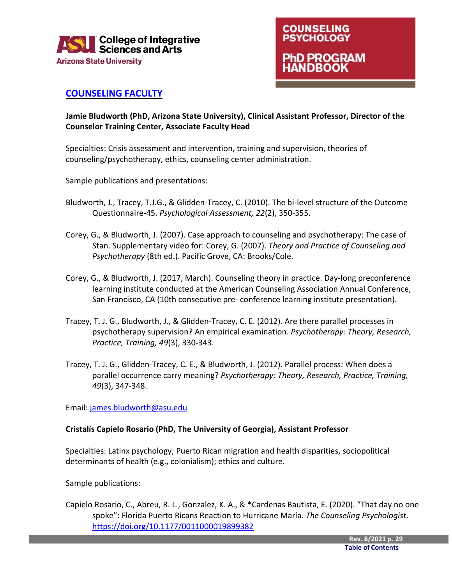



#### <span id="page-29-0"></span>**[COUNSELING FACULTY](https://cisa.asu.edu/people/faculty/ccp?dept=159349&id=2)**

**Jamie Bludworth (PhD, Arizona State University), Clinical Assistant Professor, Director of the Counselor Training Center, Associate Faculty Head**

Specialties: Crisis assessment and intervention, training and supervision, theories of counseling/psychotherapy, ethics, counseling center administration.

Sample publications and presentations:

- Bludworth, J., Tracey, T.J.G., & Glidden-Tracey, C. (2010). The bi-level structure of the Outcome Questionnaire-45. *Psychological Assessment, 22*(2), 350-355.
- Corey, G., & Bludworth, J. (2007). Case approach to counseling and psychotherapy: The case of Stan. Supplementary video for: Corey, G. (2007). *Theory and Practice of Counseling and Psychotherapy* (8th ed.). Pacific Grove, CA: Brooks/Cole.
- Corey, G., & Bludworth, J. (2017, March). Counseling theory in practice. Day-long preconference learning institute conducted at the American Counseling Association Annual Conference, San Francisco, CA (10th consecutive pre- conference learning institute presentation).
- Tracey, T. J. G., Bludworth, J., & Glidden-Tracey, C. E. (2012). Are there parallel processes in psychotherapy supervision? An empirical examination. *Psychotherapy: Theory, Research, Practice, Training, 49*(3), 330-343.
- Tracey, T. J. G., Glidden-Tracey, C. E., & Bludworth, J. (2012). Parallel process: When does a parallel occurrence carry meaning? *Psychotherapy: Theory, Research, Practice, Training, 49*(3), 347-348.

Email[: james.bludworth@asu.edu](mailto:james.bludworth@asu.edu)

#### **Cristalís Capielo Rosario (PhD, The University of Georgia), Assistant Professor**

Specialties: Latinx psychology; Puerto Rican migration and health disparities, sociopolitical determinants of health (e.g., colonialism); ethics and culture.

Sample publications:

Capielo Rosario, C., Abreu, R. L., Gonzalez, K. A., & \*Cardenas Bautista, E. (2020). "That day no one spoke": Florida Puerto Ricans Reaction to Hurricane María. *The Counseling Psychologist*. <https://doi.org/10.1177/0011000019899382>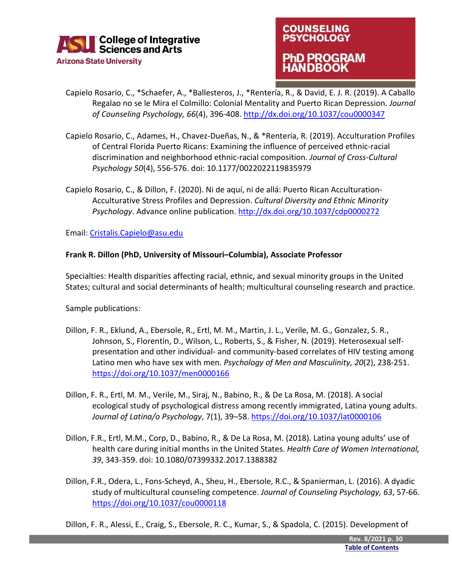

### **COUNSELING PSYCHOLOGY 1D PROGRAM** ANDBOOK

- Capielo Rosario, C., \*Schaefer, A., \*Ballesteros, J., \*Rentería, R., & David, E. J. R. (2019). A Caballo Regalao no se le Mira el Colmillo: Colonial Mentality and Puerto Rican Depression. *Journal of Counseling Psychology, 66*(4), 396-408.<http://dx.doi.org/10.1037/cou0000347>
- Capielo Rosario, C., Adames, H., Chavez-Dueñas, N., & \*Rentería, R. (2019). Acculturation Profiles of Central Florida Puerto Ricans: Examining the influence of perceived ethnic-racial discrimination and neighborhood ethnic-racial composition. *Journal of Cross-Cultural Psychology 50*(4), 556-576. doi: 10.1177/0022022119835979
- Capielo Rosario, C., & Dillon, F. (2020). Ni de aquí, ni de allá: Puerto Rican Acculturation-Acculturative Stress Profiles and Depression. *Cultural Diversity and Ethnic Minority Psychology*. Advance online publication[. http://dx.doi.org/10.1037/cdp0000272](http://dx.doi.org/10.1037/cdp0000272)

Email[: Cristalis.Capielo@asu.edu](mailto:Cristalis.Capielo@asu.edu)

#### **Frank R. Dillon (PhD, University of Missouri–Columbia), Associate Professor**

Specialties: Health disparities affecting racial, ethnic, and sexual minority groups in the United States; cultural and social determinants of health; multicultural counseling research and practice.

Sample publications:

- Dillon, F. R., Eklund, A., Ebersole, R., Ertl, M. M., Martin, J. L., Verile, M. G., Gonzalez, S. R., Johnson, S., Florentin, D., Wilson, L., Roberts, S., & Fisher, N. (2019). Heterosexual selfpresentation and other individual- and community-based correlates of HIV testing among Latino men who have sex with men. *Psychology of Men and Masculinity, 20*(2), 238-251. <https://doi.org/10.1037/men0000166>
- Dillon, F. R., Ertl, M. M., Verile, M., Siraj, N., Babino, R., & De La Rosa, M. (2018). A social ecological study of psychological distress among recently immigrated, Latina young adults. *Journal of Latina/o Psychology*, 7(1), 39–58.<https://doi.org/10.1037/lat0000106>
- Dillon, F.R., Ertl, M.M., Corp, D., Babino, R., & De La Rosa, M. (2018). Latina young adults' use of health care during initial months in the United States. *Health Care of Women International, 39*, 343-359. doi: 10.1080/07399332.2017.1388382
- Dillon, F.R., Odera, L., Fons-Scheyd, A., Sheu, H., Ebersole, R.C., & Spanierman, L. (2016). A dyadic study of multicultural counseling competence. *Journal of Counseling Psychology, 63*, 57-66. <https://doi.org/10.1037/cou0000118>

Dillon, F. R., Alessi, E., Craig, S., Ebersole, R. C., Kumar, S., & Spadola, C. (2015). Development of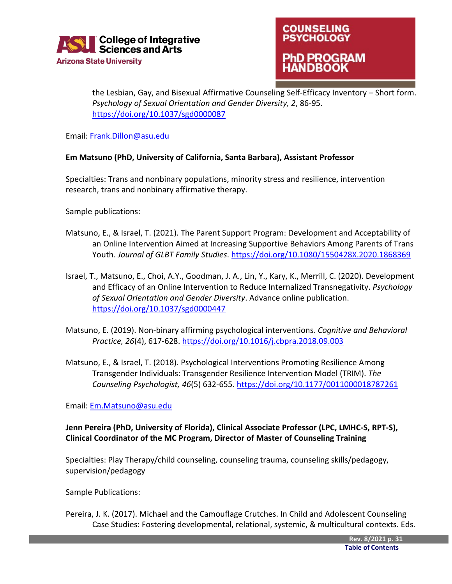



the Lesbian, Gay, and Bisexual Affirmative Counseling Self-Efficacy Inventory – Short form. *Psychology of Sexual Orientation and Gender Diversity, 2*, 86-95. <https://doi.org/10.1037/sgd0000087>

Email[: Frank.Dillon@asu.edu](mailto:Frank.Dillon@asu.edu)

#### **Em Matsuno (PhD, University of California, Santa Barbara), Assistant Professor**

Specialties: Trans and nonbinary populations, minority stress and resilience, intervention research, trans and nonbinary affirmative therapy.

Sample publications:

- Matsuno, E., & Israel, T. (2021). The Parent Support Program: Development and Acceptability of an Online Intervention Aimed at Increasing Supportive Behaviors Among Parents of Trans Youth. *Journal of GLBT Family Studies*.<https://doi.org/10.1080/1550428X.2020.1868369>
- Israel, T., Matsuno, E., Choi, A.Y., Goodman, J. A., Lin, Y., Kary, K., Merrill, C. (2020). Development and Efficacy of an Online Intervention to Reduce Internalized Transnegativity. *Psychology of Sexual Orientation and Gender Diversity*. Advance online publication. <https://doi.org/10.1037/sgd0000447>
- Matsuno, E. (2019). Non-binary affirming psychological interventions. *Cognitive and Behavioral Practice, 26*(4), 617-628.<https://doi.org/10.1016/j.cbpra.2018.09.003>
- Matsuno, E., & Israel, T. (2018). Psychological Interventions Promoting Resilience Among Transgender Individuals: Transgender Resilience Intervention Model (TRIM). *The Counseling Psychologist, 46*(5) 632-655[. https://doi.org/10.1177/0011000018787261](https://doi.org/10.1177/0011000018787261)

Email[: Em.Matsuno@asu.edu](mailto:Em.Matsuno@asu.edu)

#### **Jenn Pereira (PhD, University of Florida), Clinical Associate Professor (LPC, LMHC-S, RPT-S), Clinical Coordinator of the MC Program, Director of Master of Counseling Training**

Specialties: Play Therapy/child counseling, counseling trauma, counseling skills/pedagogy, supervision/pedagogy

Sample Publications:

Pereira, J. K. (2017). Michael and the Camouflage Crutches. In Child and Adolescent Counseling Case Studies: Fostering developmental, relational, systemic, & multicultural contexts. Eds.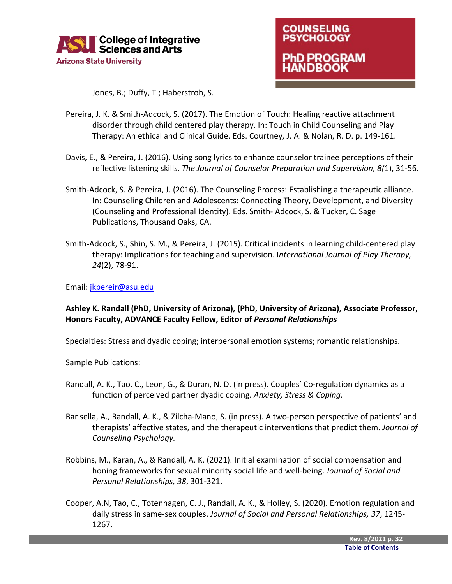



Jones, B.; Duffy, T.; Haberstroh, S.

- Pereira, J. K. & Smith-Adcock, S. (2017). The Emotion of Touch: Healing reactive attachment disorder through child centered play therapy. In: Touch in Child Counseling and Play Therapy: An ethical and Clinical Guide. Eds. Courtney, J. A. & Nolan, R. D. p. 149-161.
- Davis, E., & Pereira, J. (2016). Using song lyrics to enhance counselor trainee perceptions of their reflective listening skills. *The Journal of Counselor Preparation and Supervision, 8(*1), 31-56.
- Smith-Adcock, S. & Pereira, J. (2016). The Counseling Process: Establishing a therapeutic alliance. In: Counseling Children and Adolescents: Connecting Theory, Development, and Diversity (Counseling and Professional Identity). Eds. Smith- Adcock, S. & Tucker, C. Sage Publications, Thousand Oaks, CA.
- Smith-Adcock, S., Shin, S. M., & Pereira, J. (2015). Critical incidents in learning child-centered play therapy: Implications for teaching and supervision. I*nternational Journal of Play Therapy, 24*(2), 78-91.

Email[: jkpereir@asu.edu](mailto:jkpereir@asu.edu)

#### **Ashley K. Randall (PhD, University of Arizona), (PhD, University of Arizona), Associate Professor, Honors Faculty, ADVANCE Faculty Fellow, Editor of** *Personal Relationships*

Specialties: Stress and dyadic coping; interpersonal emotion systems; romantic relationships.

Sample Publications:

- Randall, A. K., Tao. C., Leon, G., & Duran, N. D. (in press). Couples' Co-regulation dynamics as a function of perceived partner dyadic coping. *Anxiety, Stress & Coping.*
- Bar sella, A., Randall, A. K., & Zilcha-Mano, S. (in press). A two-person perspective of patients' and therapists' affective states, and the therapeutic interventions that predict them. *Journal of Counseling Psychology.*
- Robbins, M., Karan, A., & Randall, A. K. (2021). Initial examination of social compensation and honing frameworks for sexual minority social life and well-being. *Journal of Social and Personal Relationships, 38*, 301-321.
- Cooper, A.N, Tao, C., Totenhagen, C. J., Randall, A. K., & Holley, S. (2020). Emotion regulation and daily stress in same-sex couples. *Journal of Social and Personal Relationships, 37*, 1245- 1267.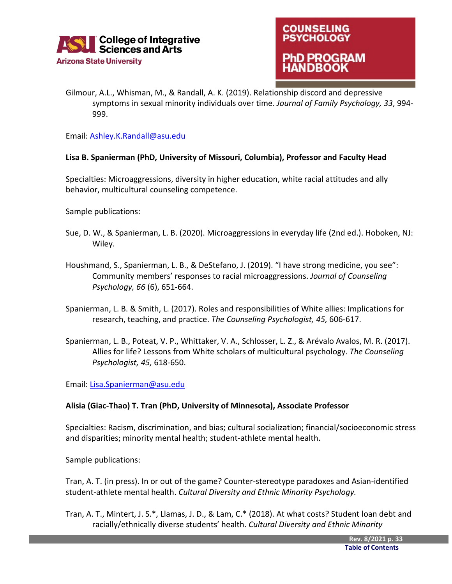



Gilmour, A.L., Whisman, M., & Randall, A. K. (2019). Relationship discord and depressive symptoms in sexual minority individuals over time. *Journal of Family Psychology, 33*, 994- 999.

Email[: Ashley.K.Randall@asu.edu](mailto:Ashley.K.Randall@asu.edu)

#### **Lisa B. Spanierman (PhD, University of Missouri, Columbia), Professor and Faculty Head**

Specialties: Microaggressions, diversity in higher education, white racial attitudes and ally behavior, multicultural counseling competence.

Sample publications:

- Sue, D. W., & Spanierman, L. B. (2020). Microaggressions in everyday life (2nd ed.). Hoboken, NJ: Wiley.
- Houshmand, S., Spanierman, L. B., & DeStefano, J. (2019). "I have strong medicine, you see": Community members' responses to racial microaggressions. *Journal of Counseling Psychology, 66* (6), 651-664.
- Spanierman, L. B. & Smith, L. (2017). Roles and responsibilities of White allies: Implications for research, teaching, and practice. *The Counseling Psychologist, 45,* 606-617.
- Spanierman, L. B., Poteat, V. P., Whittaker, V. A., Schlosser, L. Z., & Arévalo Avalos, M. R. (2017). Allies for life? Lessons from White scholars of multicultural psychology. *The Counseling Psychologist, 45,* 618-650.

Email[: Lisa.Spanierman@asu.edu](mailto:Lisa.Spanierman@asu.edu)

#### **Alisia (Giac-Thao) T. Tran (PhD, University of Minnesota), Associate Professor**

Specialties: Racism, discrimination, and bias; cultural socialization; financial/socioeconomic stress and disparities; minority mental health; student-athlete mental health.

Sample publications:

Tran, A. T. (in press). In or out of the game? Counter-stereotype paradoxes and Asian-identified student-athlete mental health. *Cultural Diversity and Ethnic Minority Psychology.* 

Tran, A. T., Mintert, J. S.\*, Llamas, J. D., & Lam, C.\* (2018). At what costs? Student loan debt and racially/ethnically diverse students' health. *Cultural Diversity and Ethnic Minority*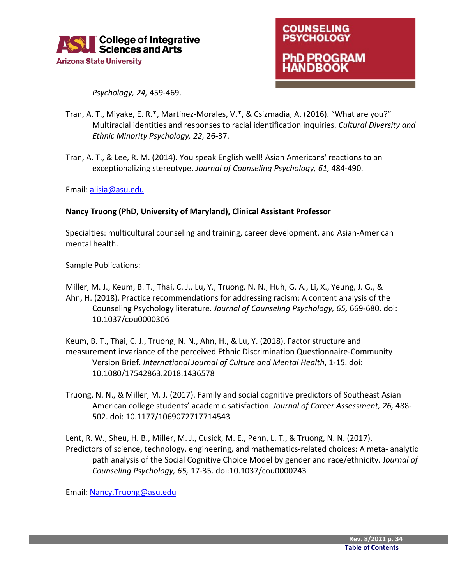



*Psychology, 24,* 459-469.

- Tran, A. T., Miyake, E. R.\*, Martinez-Morales, V.\*, & Csizmadia, A. (2016). "What are you?" Multiracial identities and responses to racial identification inquiries. *Cultural Diversity and Ethnic Minority Psychology, 22,* 26-37.
- Tran, A. T., & Lee, R. M. (2014). You speak English well! Asian Americans' reactions to an exceptionalizing stereotype. *Journal of Counseling Psychology, 61,* 484-490.

Email[: alisia@asu.edu](mailto:alisia@asu.edu)

#### **Nancy Truong (PhD, University of Maryland), Clinical Assistant Professor**

Specialties: multicultural counseling and training, career development, and Asian-American mental health.

Sample Publications:

- Miller, M. J., Keum, B. T., Thai, C. J., Lu, Y., Truong, N. N., Huh, G. A., Li, X., Yeung, J. G., & Ahn, H. (2018). Practice recommendations for addressing racism: A content analysis of the Counseling Psychology literature. *Journal of Counseling Psychology, 65,* 669-680. doi: 10.1037/cou0000306
- Keum, B. T., Thai, C. J., Truong, N. N., Ahn, H., & Lu, Y. (2018). Factor structure and measurement invariance of the perceived Ethnic Discrimination Questionnaire-Community Version Brief. *International Journal of Culture and Mental Health*, 1-15. doi: 10.1080/17542863.2018.1436578
- Truong, N. N., & Miller, M. J. (2017). Family and social cognitive predictors of Southeast Asian American college students' academic satisfaction. *Journal of Career Assessment, 26,* 488- 502. doi: 10.1177/1069072717714543
- Lent, R. W., Sheu, H. B., Miller, M. J., Cusick, M. E., Penn, L. T., & Truong, N. N. (2017). Predictors of science, technology, engineering, and mathematics-related choices: A meta- analytic path analysis of the Social Cognitive Choice Model by gender and race/ethnicity. J*ournal of Counseling Psychology, 65,* 17-35. doi:10.1037/cou0000243

Email[: Nancy.Truong@asu.edu](mailto:Nancy.Truong@asu.edu)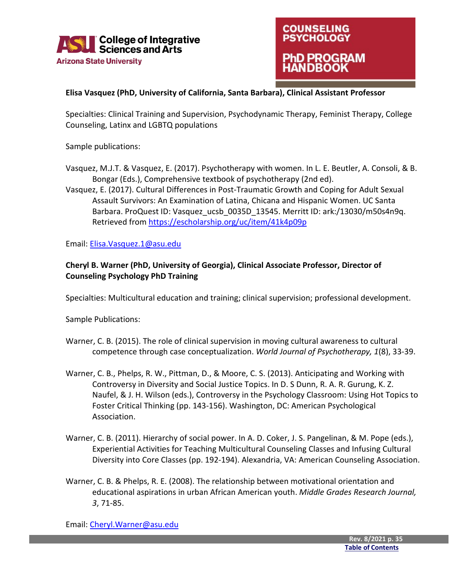



#### **Elisa Vasquez (PhD, University of California, Santa Barbara), Clinical Assistant Professor**

Specialties: Clinical Training and Supervision, Psychodynamic Therapy, Feminist Therapy, College Counseling, Latinx and LGBTQ populations

Sample publications:

Vasquez, M.J.T. & Vasquez, E. (2017). Psychotherapy with women. In L. E. Beutler, A. Consoli, & B. Bongar (Eds.), Comprehensive textbook of psychotherapy (2nd ed).

Vasquez, E. (2017). Cultural Differences in Post-Traumatic Growth and Coping for Adult Sexual Assault Survivors: An Examination of Latina, Chicana and Hispanic Women. UC Santa Barbara. ProQuest ID: Vasquez\_ucsb\_0035D\_13545. Merritt ID: ark:/13030/m50s4n9q. Retrieved from<https://escholarship.org/uc/item/41k4p09p>

Email[: Elisa.Vasquez.1@asu.edu](mailto:Elisa.Vasquez.1@asu.edu)

#### **Cheryl B. Warner (PhD, University of Georgia), Clinical Associate Professor, Director of Counseling Psychology PhD Training**

Specialties: Multicultural education and training; clinical supervision; professional development.

Sample Publications:

- Warner, C. B. (2015). The role of clinical supervision in moving cultural awareness to cultural competence through case conceptualization. *World Journal of Psychotherapy, 1*(8), 33-39.
- Warner, C. B., Phelps, R. W., Pittman, D., & Moore, C. S. (2013). Anticipating and Working with Controversy in Diversity and Social Justice Topics. In D. S Dunn, R. A. R. Gurung, K. Z. Naufel, & J. H. Wilson (eds.), Controversy in the Psychology Classroom: Using Hot Topics to Foster Critical Thinking (pp. 143-156). Washington, DC: American Psychological Association.
- Warner, C. B. (2011). Hierarchy of social power. In A. D. Coker, J. S. Pangelinan, & M. Pope (eds.), Experiential Activities for Teaching Multicultural Counseling Classes and Infusing Cultural Diversity into Core Classes (pp. 192-194). Alexandria, VA: American Counseling Association.
- Warner, C. B. & Phelps, R. E. (2008). The relationship between motivational orientation and educational aspirations in urban African American youth. *Middle Grades Research Journal, 3*, 71-85.

Email[: Cheryl.Warner@asu.edu](mailto:Cheryl.Warner@asu.edu)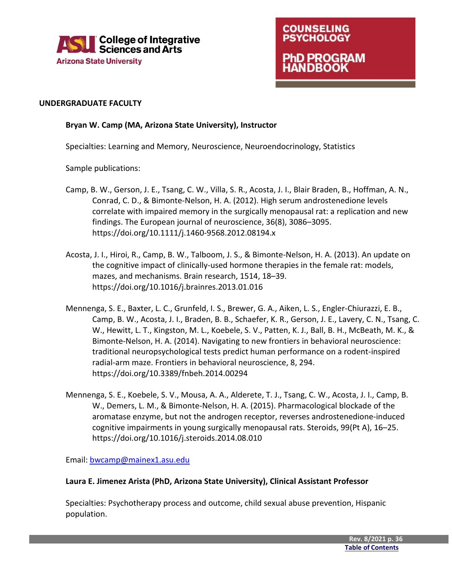

### **COUNSELING PSYCHOLOGY 1D PROGRAM IDBOOK**

#### **UNDERGRADUATE FACULTY**

#### **Bryan W. Camp (MA, Arizona State University), Instructor**

Specialties: Learning and Memory, Neuroscience, Neuroendocrinology, Statistics

Sample publications:

- Camp, B. W., Gerson, J. E., Tsang, C. W., Villa, S. R., Acosta, J. I., Blair Braden, B., Hoffman, A. N., Conrad, C. D., & Bimonte-Nelson, H. A. (2012). High serum androstenedione levels correlate with impaired memory in the surgically menopausal rat: a replication and new findings. The European journal of neuroscience, 36(8), 3086–3095. https://doi.org/10.1111/j.1460-9568.2012.08194.x
- Acosta, J. I., Hiroi, R., Camp, B. W., Talboom, J. S., & Bimonte-Nelson, H. A. (2013). An update on the cognitive impact of clinically-used hormone therapies in the female rat: models, mazes, and mechanisms. Brain research, 1514, 18–39. https://doi.org/10.1016/j.brainres.2013.01.016
- Mennenga, S. E., Baxter, L. C., Grunfeld, I. S., Brewer, G. A., Aiken, L. S., Engler-Chiurazzi, E. B., Camp, B. W., Acosta, J. I., Braden, B. B., Schaefer, K. R., Gerson, J. E., Lavery, C. N., Tsang, C. W., Hewitt, L. T., Kingston, M. L., Koebele, S. V., Patten, K. J., Ball, B. H., McBeath, M. K., & Bimonte-Nelson, H. A. (2014). Navigating to new frontiers in behavioral neuroscience: traditional neuropsychological tests predict human performance on a rodent-inspired radial-arm maze. Frontiers in behavioral neuroscience, 8, 294. https://doi.org/10.3389/fnbeh.2014.00294
- Mennenga, S. E., Koebele, S. V., Mousa, A. A., Alderete, T. J., Tsang, C. W., Acosta, J. I., Camp, B. W., Demers, L. M., & Bimonte-Nelson, H. A. (2015). Pharmacological blockade of the aromatase enzyme, but not the androgen receptor, reverses androstenedione-induced cognitive impairments in young surgically menopausal rats. Steroids, 99(Pt A), 16–25. https://doi.org/10.1016/j.steroids.2014.08.010

Email[: bwcamp@mainex1.asu.edu](mailto:bwcamp@mainex1.asu.edu)

#### **Laura E. Jimenez Arista (PhD, Arizona State University), Clinical Assistant Professor**

Specialties: Psychotherapy process and outcome, child sexual abuse prevention, Hispanic population.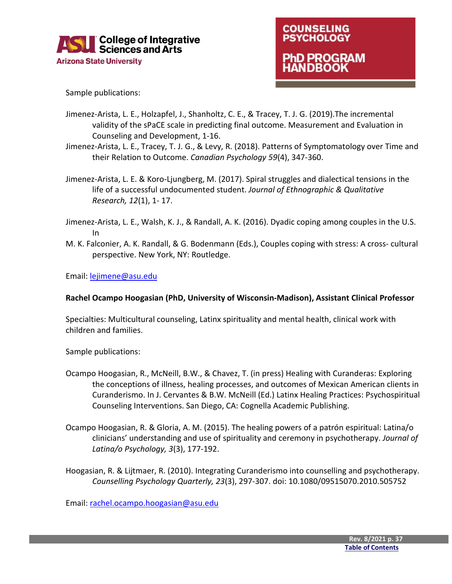



Sample publications:

- Jimenez-Arista, L. E., Holzapfel, J., Shanholtz, C. E., & Tracey, T. J. G. (2019).The incremental validity of the sPaCE scale in predicting final outcome. Measurement and Evaluation in Counseling and Development, 1-16.
- Jimenez-Arista, L. E., Tracey, T. J. G., & Levy, R. (2018). Patterns of Symptomatology over Time and their Relation to Outcome. *Canadian Psychology 59*(4), 347-360.
- Jimenez-Arista, L. E. & Koro-Ljungberg, M. (2017). Spiral struggles and dialectical tensions in the life of a successful undocumented student. *Journal of Ethnographic & Qualitative Research, 12*(1), 1- 17.
- Jimenez-Arista, L. E., Walsh, K. J., & Randall, A. K. (2016). Dyadic coping among couples in the U.S. In
- M. K. Falconier, A. K. Randall, & G. Bodenmann (Eds.), Couples coping with stress: A cross- cultural perspective. New York, NY: Routledge.

Email[: lejimene@asu.edu](mailto:lejimene@asu.edu)

#### **Rachel Ocampo Hoogasian (PhD, University of Wisconsin-Madison), Assistant Clinical Professor**

Specialties: Multicultural counseling, Latinx spirituality and mental health, clinical work with children and families.

Sample publications:

- Ocampo Hoogasian, R., McNeill, B.W., & Chavez, T. (in press) Healing with Curanderas: Exploring the conceptions of illness, healing processes, and outcomes of Mexican American clients in Curanderismo. In J. Cervantes & B.W. McNeill (Ed.) Latinx Healing Practices: Psychospiritual Counseling Interventions. San Diego, CA: Cognella Academic Publishing.
- Ocampo Hoogasian, R. & Gloria, A. M. (2015). The healing powers of a patrón espiritual: Latina/o clinicians' understanding and use of spirituality and ceremony in psychotherapy. *Journal of Latina/o Psychology, 3*(3), 177-192.
- Hoogasian, R. & Lijtmaer, R. (2010). Integrating Curanderismo into counselling and psychotherapy. *Counselling Psychology Quarterly, 23*(3), 297-307. doi: 10.1080/09515070.2010.505752

Email[: rachel.ocampo.hoogasian@asu.edu](mailto:rachel.ocampo.hoogasian@asu.edu)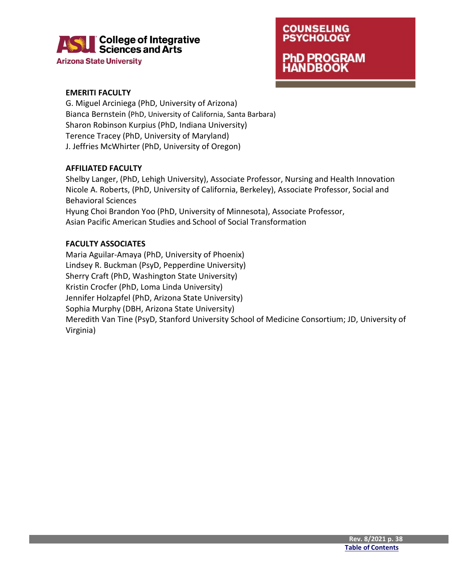

**Arizona State University** 



#### **EMERITI FACULTY**

G. Miguel Arciniega (PhD, University of Arizona) Bianca Bernstein (PhD, University of California, Santa Barbara) Sharon Robinson Kurpius (PhD, Indiana University) Terence Tracey (PhD, University of Maryland) J. Jeffries McWhirter (PhD, University of Oregon)

#### **AFFILIATED FACULTY**

Shelby Langer, (PhD, Lehigh University), Associate Professor, Nursing and Health Innovation Nicole A. Roberts, (PhD, University of California, Berkeley), Associate Professor, Social and Behavioral Sciences Hyung Choi Brandon Yoo (PhD, University of Minnesota), Associate Professor, Asian Pacific American Studies and School of Social Transformation

#### **FACULTY ASSOCIATES**

Maria Aguilar-Amaya (PhD, University of Phoenix) Lindsey R. Buckman (PsyD, Pepperdine University) Sherry Craft (PhD, Washington State University) Kristin Crocfer (PhD, Loma Linda University) Jennifer Holzapfel (PhD, Arizona State University) Sophia Murphy (DBH, Arizona State University) Meredith Van Tine (PsyD, Stanford University School of Medicine Consortium; JD, University of Virginia)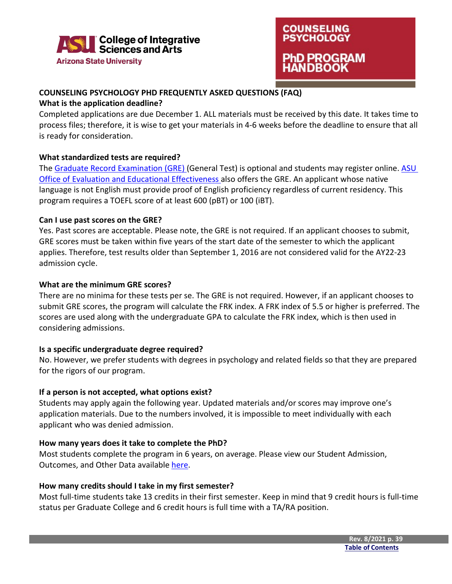



#### <span id="page-39-0"></span>**COUNSELING PSYCHOLOGY PHD FREQUENTLY ASKED QUESTIONS (FAQ)**

#### **What is the application deadline?**

Completed applications are due December 1. ALL materials must be received by this date. It takes time to process files; therefore, it is wise to get your materials in 4-6 weeks before the deadline to ensure that all is ready for consideration.

#### **What standardized tests are required?**

The [Graduate Record Examination \(GRE\) \(](http://www.ets.org/gre/)General Test) is optional and students may register online. ASU [Office of Evaluation and Educational Effectiveness a](https://uoeee.asu.edu/testing)lso offers the GRE. An applicant whose native language is not English must provide proof of English proficiency regardless of current residency. This program requires a TOEFL score of at least 600 (pBT) or 100 (iBT).

#### **Can I use past scores on the GRE?**

Yes. Past scores are acceptable. Please note, the GRE is not required. If an applicant chooses to submit, GRE scores must be taken within five years of the start date of the semester to which the applicant applies. Therefore, test results older than September 1, 2016 are not considered valid for the AY22-23 admission cycle.

#### **What are the minimum GRE scores?**

There are no minima for these tests per se. The GRE is not required. However, if an applicant chooses to submit GRE scores, the program will calculate the FRK index. A FRK index of 5.5 or higher is preferred. The scores are used along with the undergraduate GPA to calculate the FRK index, which is then used in considering admissions.

#### **Is a specific undergraduate degree required?**

No. However, we prefer students with degrees in psychology and related fields so that they are prepared for the rigors of our program.

#### **If a person is not accepted, what options exist?**

Students may apply again the following year. Updated materials and/or scores may improve one's application materials. Due to the numbers involved, it is impossible to meet individually with each applicant who was denied admission.

#### **How many years does it take to complete the PhD?**

Most students complete the program in 6 years, on average. Please view our Student Admission, Outcomes, and Other Data available [here.](https://cisa.asu.edu/graduate/ccp/CP_Student-Resources)

#### **How many credits should I take in my first semester?**

Most full-time students take 13 credits in their first semester. Keep in mind that 9 credit hours is full-time status per Graduate College and 6 credit hours is full time with a TA/RA position.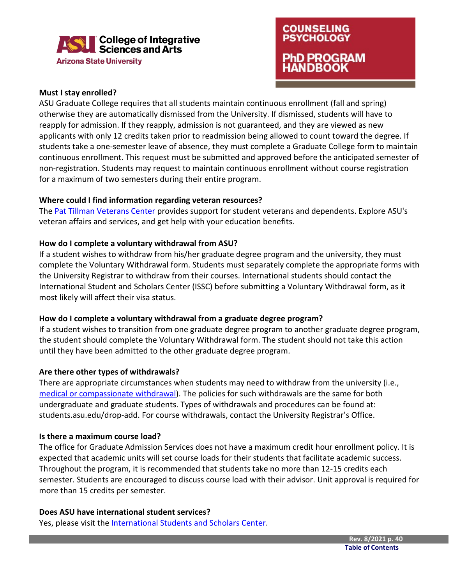

#### **Must I stay enrolled?**

ASU Graduate College requires that all students maintain continuous enrollment (fall and spring) otherwise they are automatically dismissed from the University. If dismissed, students will have to reapply for admission. If they reapply, admission is not guaranteed, and they are viewed as new applicants with only 12 credits taken prior to readmission being allowed to count toward the degree. If students take a one-semester leave of absence, they must complete a Graduate College form to maintain continuous enrollment. This request must be submitted and approved before the anticipated semester of non-registration. Students may request to maintain continuous enrollment without course registration for a maximum of two semesters during their entire program.

#### **Where could I find information regarding veteran resources?**

The [Pat Tillman Veterans Center](https://veterans.asu.edu/) provides support for student veterans and dependents. Explore ASU's veteran affairs and services, and get help with your education benefits.

#### **How do I complete a voluntary withdrawal from ASU?**

If a student wishes to withdraw from his/her graduate degree program and the university, they must complete the Voluntary Withdrawal form. Students must separately complete the appropriate forms with the University Registrar to withdraw from their courses. International students should contact the International Student and Scholars Center (ISSC) before submitting a Voluntary Withdrawal form, as it most likely will affect their visa status.

#### **How do I complete a voluntary withdrawal from a graduate degree program?**

If a student wishes to transition from one graduate degree program to another graduate degree program, the student should complete the Voluntary Withdrawal form. The student should not take this action until they have been admitted to the other graduate degree program.

#### **Are there other types of withdrawals?**

There are appropriate circumstances when students may need to withdraw from the university (i.e., [medical or compassionate withdrawal\)](https://cisa.asu.edu/medicalcompassionate-withdrawal-instructions). The policies for such withdrawals are the same for both undergraduate and graduate students. Types of withdrawals and procedures can be found at: students.asu.edu/drop-add. For course withdrawals, contact the University Registrar's Office.

#### **Is there a maximum course load?**

The office for Graduate Admission Services does not have a maximum credit hour enrollment policy. It is expected that academic units will set course loads for their students that facilitate academic success. Throughout the program, it is recommended that students take no more than 12-15 credits each semester. Students are encouraged to discuss course load with their advisor. Unit approval is required for more than 15 credits per semester.

#### **Does ASU have international student services?**

Yes, please visit the [International Students and Scholars Center.](https://issc.asu.edu/)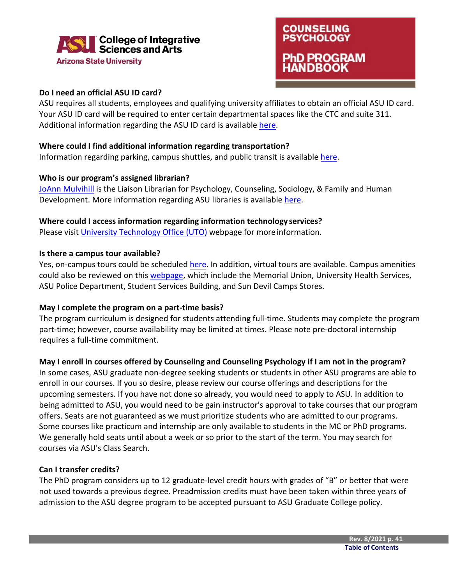

### **COUNSELING PSYCHOLOGY** PhD PROGRAM **NDBOOK**

#### **Do I need an official ASU ID card?**

ASU requires all students, employees and qualifying university affiliates to obtain an official ASU ID card. Your ASU ID card will be required to enter certain departmental spaces like the CTC and suite 311. Additional information regarding the ASU ID card is available [here.](https://cfo.asu.edu/cardservices)

#### **Where could I find additional information regarding transportation?**

Information regarding parking, campus shuttles, and public transit is available [here.](https://cfo.asu.edu/transit)

#### **Who is our program's assigned librarian?**

[JoAnn Mulvihill](https://isearch.asu.edu/profile/42939) is the Liaison Librarian for Psychology, Counseling, Sociology, & Family and Human Development. More information regarding ASU libraries is available [here.](https://tours.asu.edu/tempe/asu-libraries)

#### **Where could I access information regarding information technology services?**

Please visit [University Technology Office \(UTO\)](https://uto.asu.edu/) webpage for moreinformation.

#### **Is there a campus tour available?**

Yes, on-campus tours could be schedule[d here.](https://tours.asu.edu/) In addition, virtual tours are available. Campus amenities could also be reviewed on this [webpage,](https://tours.asu.edu/tempe/student-services) which include the Memorial Union, University Health Services, ASU Police Department, Student Services Building, and Sun Devil Camps Stores.

#### **May I complete the program on a part-time basis?**

The program curriculum is designed for students attending full-time. Students may complete the program part-time; however, course availability may be limited at times. Please note pre-doctoral internship requires a full-time commitment.

#### **May I enroll in courses offered by Counseling and Counseling Psychology if I am not in the program?**

In some cases, ASU graduate non-degree seeking students or students in other ASU programs are able to enroll in our courses. If you so desire, please review our course offerings and descriptions for the upcoming semesters. If you have not done so already, you would need to apply to ASU. In addition to being admitted to ASU, you would need to be gain instructor's approval to take courses that our program offers. Seats are not guaranteed as we must prioritize students who are admitted to our programs. Some courses like practicum and internship are only available to students in the MC or PhD programs. We generally hold seats until about a week or so prior to the start of the term. You may search for courses via ASU's Class Search.

#### **Can I transfer credits?**

The PhD program considers up to 12 graduate-level credit hours with grades of "B" or better that were not used towards a previous degree. Preadmission credits must have been taken within three years of admission to the ASU degree program to be accepted pursuant to ASU Graduate College policy.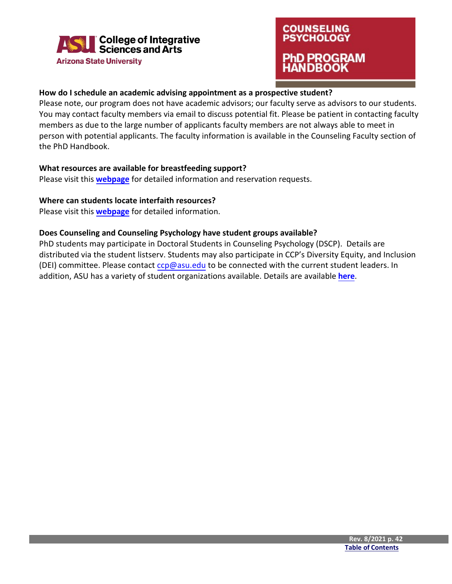

### **COUNSELING PSYCHOLOGY** PhD PROGRAM HANDBOOK

#### **How do I schedule an academic advising appointment as a prospective student?**

Please note, our program does not have academic advisors; our faculty serve as advisors to our students. You may contact faculty members via email to discuss potential fit. Please be patient in contacting faculty members as due to the large number of applicants faculty members are not always able to meet in person with potential applicants. The faculty information is available in the Counseling Faculty section of the PhD Handbook.

#### **What resources are available for breastfeeding support?**

Please visit this **[webpage](https://eoss.asu.edu/students-families/breastfeeding)** for detailed information and reservation requests.

#### **Where can students locate interfaith resources?**

Please visit this **[webpage](https://eoss.asu.edu/mu/whats-in/interfaith-room)** for detailed information.

#### **Does Counseling and Counseling Psychology have student groups available?**

PhD students may participate in Doctoral Students in Counseling Psychology (DSCP). Details are distributed via the student listserv. Students may also participate in CCP's Diversity Equity, and Inclusion (DEI) committee. Please contac[t ccp@asu.edu](mailto:ccp@asu.edu) to be connected with the current student leaders. In addition, ASU has a variety of student organizations available. Details are available **[here](https://eoss.asu.edu/clubs/tempe/)**.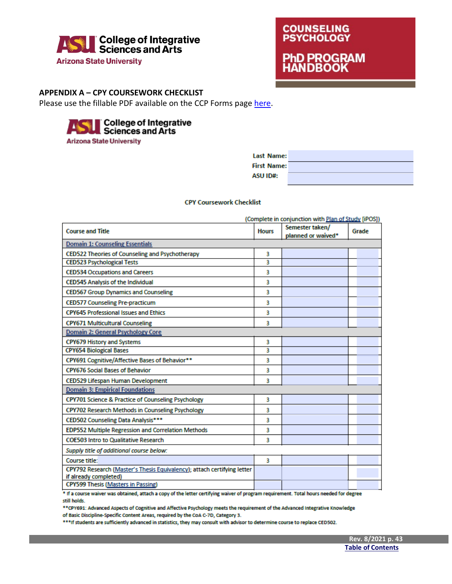

# **COUNSELING PSYCHOLOGY PhD PROGRAM**<br>HANDBOOK

#### <span id="page-43-0"></span>**APPENDIX A – CPY COURSEWORK CHECKLIST**

Please use the fillable PDF available on the CCP Forms page [here.](https://cisa.asu.edu/graduate/ccp/forms)



| Last Name:         |  |
|--------------------|--|
| <b>First Name:</b> |  |
| <b>ASU ID#:</b>    |  |

#### **CPY Coursework Checklist**

| (Complete in conjunction with Plan of Study [iPOS])                                              |              |                                       |       |
|--------------------------------------------------------------------------------------------------|--------------|---------------------------------------|-------|
| <b>Course and Title</b>                                                                          | <b>Hours</b> | Semester taken/<br>planned or waived* | Grade |
| <b>Domain 1: Counseling Essentials</b>                                                           |              |                                       |       |
| CED522 Theories of Counseling and Psychotherapy                                                  | 3            |                                       |       |
| <b>CED523 Psychological Tests</b>                                                                | 3            |                                       |       |
| <b>CED534 Occupations and Careers</b>                                                            | 3            |                                       |       |
| <b>CED545 Analysis of the Individual</b>                                                         | 3            |                                       |       |
| <b>CED567 Group Dynamics and Counseling</b>                                                      | 3            |                                       |       |
| <b>CED577 Counseling Pre-practicum</b>                                                           | 3            |                                       |       |
| <b>CPY645 Professional Issues and Ethics</b>                                                     | 3            |                                       |       |
| <b>CPY671 Multicultural Counseling</b>                                                           | 3            |                                       |       |
| Domain 2: General Psychology Core                                                                |              |                                       |       |
| <b>CPY679 History and Systems</b>                                                                | 3            |                                       |       |
| <b>CPY654 Biological Bases</b>                                                                   | 3            |                                       |       |
| CPY691 Cognitive/Affective Bases of Behavior**                                                   | 3            |                                       |       |
| <b>CPY676 Social Bases of Behavior</b>                                                           | 3            |                                       |       |
| CED529 Lifespan Human Development                                                                |              |                                       |       |
| <b>Domain 3: Empirical Foundations</b>                                                           |              |                                       |       |
| CPY701 Science & Practice of Counseling Psychology                                               | 3            |                                       |       |
| CPY702 Research Methods in Counseling Psychology                                                 | 3            |                                       |       |
| CED502 Counseling Data Analysis***                                                               | 3            |                                       |       |
| <b>EDP552 Multiple Regression and Correlation Methods</b>                                        | 3            |                                       |       |
| <b>COE503 Intro to Qualitative Research</b>                                                      | 3            |                                       |       |
| Supply title of additional course below:                                                         |              |                                       |       |
| Course title:                                                                                    | з            |                                       |       |
| CPY792 Research (Master's Thesis Equivalency); attach certifying letter<br>if already completed) |              |                                       |       |
| <b>CPY599 Thesis (Masters in Passing)</b>                                                        |              |                                       |       |

\* If a course waiver was obtained, attach a copy of the letter certifying waiver of program requirement. Total hours needed for degree still holds.

\*\* CPY691: Advanced Aspects of Cognitive and Affective Psychology meets the requirement of the Advanced Integrative Knowledge of Basic Discipline-Specific Content Areas, required by the CoA C-7D, Category 3.

\*\*\*If students are sufficiently advanced in statistics, they may consult with advisor to determine course to replace CED502.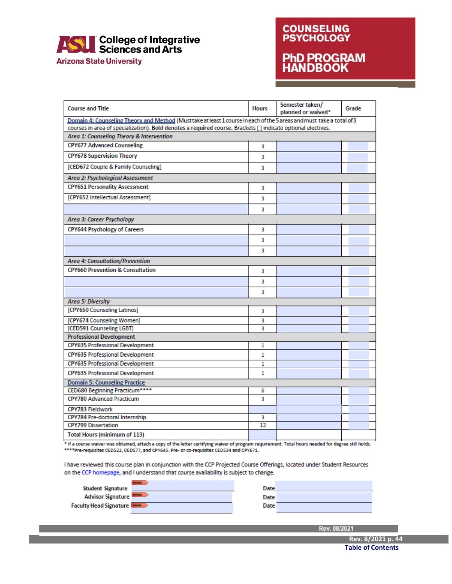

**Arizona State University** 

# **COUNSELING**<br>**PSYCHOLOGY PhD PROGRAM**<br>HANDBOOK

| <b>Course and Title</b>                                                                                              | <b>Hours</b> | Semester taken/<br>planned or waived* | Grade |  |
|----------------------------------------------------------------------------------------------------------------------|--------------|---------------------------------------|-------|--|
| Domain 4: Counseling Theory and Method (Musttake at least 1 course in each of the 5 areas and must take a total of 3 |              |                                       |       |  |
| courses in area of specialization). Bold denotes a required course. Brackets [] indicate optional electives.         |              |                                       |       |  |
| Area 1: Counseling Theory & Intervention                                                                             |              |                                       |       |  |
| <b>CPY677 Advanced Counseling</b>                                                                                    | 3            |                                       |       |  |
| <b>CPY678 Supervision Theory</b>                                                                                     | 3            |                                       |       |  |
| [CED672 Couple & Family Counseling]                                                                                  | 3            |                                       |       |  |
| Area 2: Psychological Assessment                                                                                     |              |                                       |       |  |
| <b>CPY651 Personality Assessment</b>                                                                                 | 3            |                                       |       |  |
| [CPY652 Intellectual Assessment]                                                                                     | 3            |                                       |       |  |
|                                                                                                                      | 3            |                                       |       |  |
| Area 3: Career Psychology                                                                                            |              |                                       |       |  |
| <b>CPY644 Psychology of Careers</b>                                                                                  | 3            |                                       |       |  |
|                                                                                                                      | 3            |                                       |       |  |
|                                                                                                                      | 3            |                                       |       |  |
| Area 4: Consultation/Prevention                                                                                      |              |                                       |       |  |
| <b>CPY660 Prevention &amp; Consultation</b>                                                                          | 3            |                                       |       |  |
|                                                                                                                      | 3            |                                       |       |  |
|                                                                                                                      | 3            |                                       |       |  |
| <b>Area 5: Diversity</b>                                                                                             |              |                                       |       |  |
| [CPY650 Counseling Latinos]                                                                                          | 3            |                                       |       |  |
| [CPY674 Counseling Women]                                                                                            | 3            |                                       |       |  |
| [CED591 Counseling LGBT]                                                                                             | 3            |                                       |       |  |
| <b>Professional Development</b>                                                                                      |              |                                       |       |  |
| <b>CPY635 Professional Development</b>                                                                               | 1            |                                       |       |  |
| <b>CPY635 Professional Development</b>                                                                               | 1            |                                       |       |  |
| <b>CPY635 Professional Development</b>                                                                               | 1            |                                       |       |  |
| <b>CPY635 Professional Development</b>                                                                               | 1            |                                       |       |  |
| <b>Domain 5: Counseling Practice</b>                                                                                 |              |                                       |       |  |
| CED680 Beginning Practicum****                                                                                       | 6            |                                       |       |  |
| <b>CPY780 Advanced Practicum</b>                                                                                     | 3            |                                       |       |  |
| CPY783 Fieldwork                                                                                                     |              |                                       |       |  |
| CPY784 Pre-doctoral Internship                                                                                       | 3            |                                       |       |  |
| <b>CPY799 Dissertation</b>                                                                                           | 12           |                                       |       |  |
| <b>Total Hours (minimum of 113)</b>                                                                                  |              |                                       |       |  |

\* If a course waiver was obtained, attach a copy of the letter certifying waiver of program requirement. Total hours needed for degree still holds. \*\*\*\* Pre-requisites CED522, CED577, and CPY645. Pre- or co-requisites CED534 and CPY671.

I have reviewed this course plan in conjunction with the CCP Projected Course Offerings, located under Student Resources on the CCP homepage, and I understand that course availability is subject to change.

| <b>Student Signature</b>      | Date |  |
|-------------------------------|------|--|
| <b>Advisor Signature</b>      | Date |  |
| <b>Faculty Head Signature</b> | Date |  |
|                               |      |  |

Rev. 08/202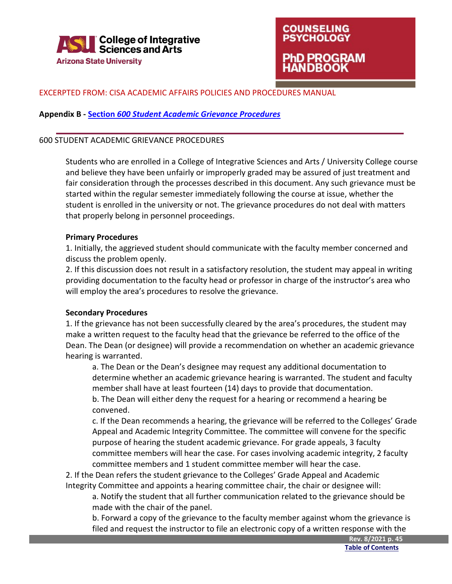

### **COUNSELING PSYCHOLOGY hD PROGRAM NDBOOK**

#### <span id="page-45-0"></span>EXCERPTED FROM: CISA ACADEMIC AFFAIRS POLICIES AND PROCEDURES MANUAL

#### **Appendix B - Section** *[600 Student Academic Grievance Procedures](https://cisa.asu.edu/sites/default/files/academic_affairs_policies_and_procedures_manual_1_11_19_final.pdf)*

#### 600 STUDENT ACADEMIC GRIEVANCE PROCEDURES

Students who are enrolled in a College of Integrative Sciences and Arts / University College course and believe they have been unfairly or improperly graded may be assured of just treatment and fair consideration through the processes described in this document. Any such grievance must be started within the regular semester immediately following the course at issue, whether the student is enrolled in the university or not. The grievance procedures do not deal with matters that properly belong in personnel proceedings.

#### **Primary Procedures**

1. Initially, the aggrieved student should communicate with the faculty member concerned and discuss the problem openly.

2. If this discussion does not result in a satisfactory resolution, the student may appeal in writing providing documentation to the faculty head or professor in charge of the instructor's area who will employ the area's procedures to resolve the grievance.

#### **Secondary Procedures**

1. If the grievance has not been successfully cleared by the area's procedures, the student may make a written request to the faculty head that the grievance be referred to the office of the Dean. The Dean (or designee) will provide a recommendation on whether an academic grievance hearing is warranted.

a. The Dean or the Dean's designee may request any additional documentation to determine whether an academic grievance hearing is warranted. The student and faculty member shall have at least fourteen (14) days to provide that documentation. b. The Dean will either deny the request for a hearing or recommend a hearing be convened.

c. If the Dean recommends a hearing, the grievance will be referred to the Colleges' Grade Appeal and Academic Integrity Committee. The committee will convene for the specific purpose of hearing the student academic grievance. For grade appeals, 3 faculty committee members will hear the case. For cases involving academic integrity, 2 faculty committee members and 1 student committee member will hear the case.

2. If the Dean refers the student grievance to the Colleges' Grade Appeal and Academic Integrity Committee and appoints a hearing committee chair, the chair or designee will:

a. Notify the student that all further communication related to the grievance should be made with the chair of the panel.

b. Forward a copy of the grievance to the faculty member against whom the grievance is filed and request the instructor to file an electronic copy of a written response with the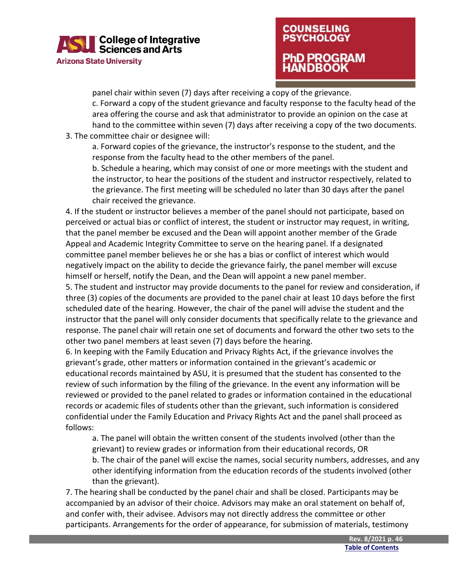### | College of Integrative<br>| Sciences and Arts **Arizona State University**

### **COUNSELING PSYCHOLOGY** hD PROGRAM ANDBOOK

panel chair within seven (7) days after receiving a copy of the grievance.

c. Forward a copy of the student grievance and faculty response to the faculty head of the area offering the course and ask that administrator to provide an opinion on the case at hand to the committee within seven (7) days after receiving a copy of the two documents.

3. The committee chair or designee will:

a. Forward copies of the grievance, the instructor's response to the student, and the response from the faculty head to the other members of the panel.

b. Schedule a hearing, which may consist of one or more meetings with the student and the instructor, to hear the positions of the student and instructor respectively, related to the grievance. The first meeting will be scheduled no later than 30 days after the panel chair received the grievance.

4. If the student or instructor believes a member of the panel should not participate, based on perceived or actual bias or conflict of interest, the student or instructor may request, in writing, that the panel member be excused and the Dean will appoint another member of the Grade Appeal and Academic Integrity Committee to serve on the hearing panel. If a designated committee panel member believes he or she has a bias or conflict of interest which would negatively impact on the ability to decide the grievance fairly, the panel member will excuse himself or herself, notify the Dean, and the Dean will appoint a new panel member.

5. The student and instructor may provide documents to the panel for review and consideration, if three (3) copies of the documents are provided to the panel chair at least 10 days before the first scheduled date of the hearing. However, the chair of the panel will advise the student and the instructor that the panel will only consider documents that specifically relate to the grievance and response. The panel chair will retain one set of documents and forward the other two sets to the other two panel members at least seven (7) days before the hearing.

6. In keeping with the Family Education and Privacy Rights Act, if the grievance involves the grievant's grade, other matters or information contained in the grievant's academic or educational records maintained by ASU, it is presumed that the student has consented to the review of such information by the filing of the grievance. In the event any information will be reviewed or provided to the panel related to grades or information contained in the educational records or academic files of students other than the grievant, such information is considered confidential under the Family Education and Privacy Rights Act and the panel shall proceed as follows:

a. The panel will obtain the written consent of the students involved (other than the grievant) to review grades or information from their educational records, OR b. The chair of the panel will excise the names, social security numbers, addresses, and any other identifying information from the education records of the students involved (other than the grievant).

7. The hearing shall be conducted by the panel chair and shall be closed. Participants may be accompanied by an advisor of their choice. Advisors may make an oral statement on behalf of, and confer with, their advisee. Advisors may not directly address the committee or other participants. Arrangements for the order of appearance, for submission of materials, testimony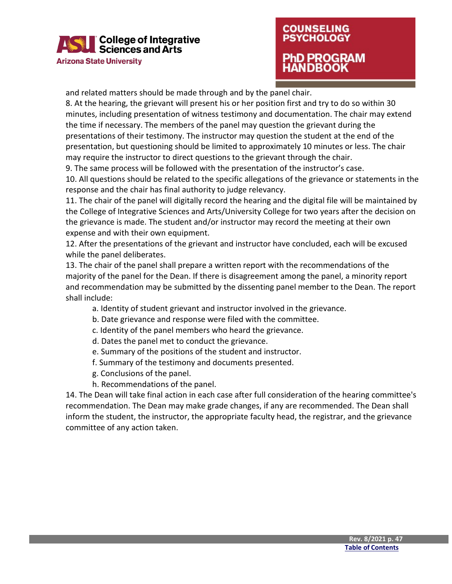

### **COUNSELING PSYCHOLOGY** PhD PROGRAM IANDBOOK

and related matters should be made through and by the panel chair.

8. At the hearing, the grievant will present his or her position first and try to do so within 30 minutes, including presentation of witness testimony and documentation. The chair may extend the time if necessary. The members of the panel may question the grievant during the presentations of their testimony. The instructor may question the student at the end of the presentation, but questioning should be limited to approximately 10 minutes or less. The chair may require the instructor to direct questions to the grievant through the chair.

9. The same process will be followed with the presentation of the instructor's case.

10. All questions should be related to the specific allegations of the grievance or statements in the response and the chair has final authority to judge relevancy.

11. The chair of the panel will digitally record the hearing and the digital file will be maintained by the College of Integrative Sciences and Arts/University College for two years after the decision on the grievance is made. The student and/or instructor may record the meeting at their own expense and with their own equipment.

12. After the presentations of the grievant and instructor have concluded, each will be excused while the panel deliberates.

13. The chair of the panel shall prepare a written report with the recommendations of the majority of the panel for the Dean. If there is disagreement among the panel, a minority report and recommendation may be submitted by the dissenting panel member to the Dean. The report shall include:

- a. Identity of student grievant and instructor involved in the grievance.
- b. Date grievance and response were filed with the committee.
- c. Identity of the panel members who heard the grievance.
- d. Dates the panel met to conduct the grievance.
- e. Summary of the positions of the student and instructor.
- f. Summary of the testimony and documents presented.
- g. Conclusions of the panel.
- h. Recommendations of the panel.

14. The Dean will take final action in each case after full consideration of the hearing committee's recommendation. The Dean may make grade changes, if any are recommended. The Dean shall inform the student, the instructor, the appropriate faculty head, the registrar, and the grievance committee of any action taken.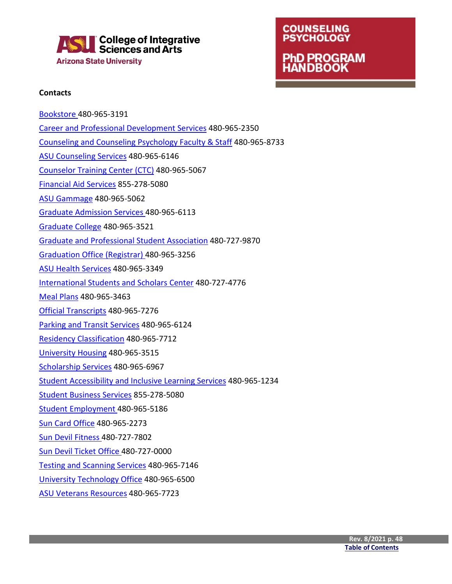

### **COUNSELING PSYCHOLOGY PhD PROGRAM HANDBOOK**

#### **Contacts**

[Bookstore 4](https://contact.asu.edu/content/bookstore)80-965-3191 [Career and Professional Development Services](https://career.asu.edu/contact-us) 480-965-2350 [Counseling and Counseling Psychology Faculty & Staff](https://cisa.asu.edu/people/faculty/ccp) 480-965-8733 [ASU Counseling Services](https://eoss.asu.edu/counseling/about-us/location-and-hours) 480-965-6146 [Counselor Training Center \(CTC\)](https://cisa.asu.edu/graduate/ccp/ctc) 480-965-5067 [Financial Aid Services](https://students.asu.edu/financial-aid) 855-278-5080 [ASU Gammage](https://www.asugammage.com/contact) 480-965-5062 [Graduate Admission Services 4](https://admission.asu.edu/contact)80-965-6113 [Graduate College](https://graduate.asu.edu/about/contact-us) 480-965-3521 [Graduate and Professional Student Association](https://gpsa.asu.edu/locations/) 480-727-9870 [Graduation Office \(Registrar\) 4](https://students.asu.edu/contact/office-university-registrar)80-965-3256 [ASU Health Services](https://eoss.asu.edu/health/contact) 480-965-3349 [International Students and Scholars Center](https://issc.asu.edu/contact-us) 480-727-4776 [Meal Plans](https://sundevildining.asu.edu/contact) 480-965-3463 [Official Transcripts](https://students.asu.edu/contact/office-university-registrar) 480-965-7276 [Parking and Transit Services](https://cfo.asu.edu/parking-and-transit-services-contact-information) 480-965-6124 [Residency Classification](https://students.asu.edu/contact/office-university-registrar) 480-965-7712 [University Housing](https://housing.asu.edu/contact-us) 480-965-3515 [Scholarship Services](https://scholarships.asu.edu/) 480-965-6967 [Student Accessibility and Inclusive Learning Services](https://eoss.asu.edu/accessibility) 480-965-1234 [Student Business Services](https://students.asu.edu/contact-tuition-billing) 855-278-5080 [Student Employment 4](https://students.asu.edu/employment)80-965-5186 [Sun Card Office](https://cfo.asu.edu/cardservices) 480-965-2273 [Sun Devil Fitness 4](https://fitness.asu.edu/contact)80-727-7802 [Sun Devil Ticket Office 4](https://thesundevils.com/sports/2013/8/12/209109460.aspx)80-727-0000 [Testing and Scanning Services](https://uoeee.asu.edu/contact-us) 480-965-7146 [University Technology Office](https://uto.asu.edu/contact) 480-965-6500 [ASU Veterans Resources](https://veterans.asu.edu/) 480-965-7723